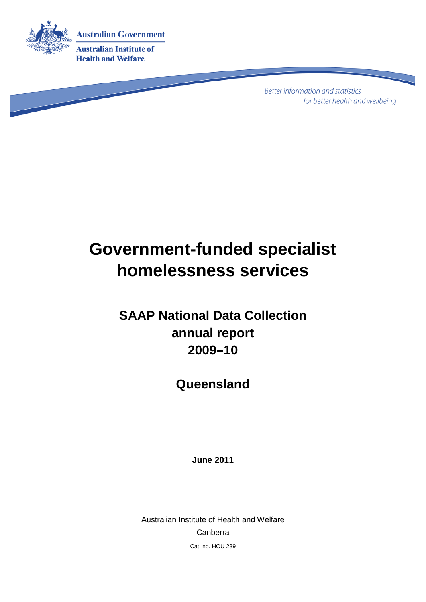

**Better information and statistics** for better health and wellbeing

# **Government-funded specialist homelessness services**

### **SAAP National Data Collection annual report 2009–10**

**Queensland**

**June 2011**

Australian Institute of Health and Welfare Canberra Cat. no. HOU 239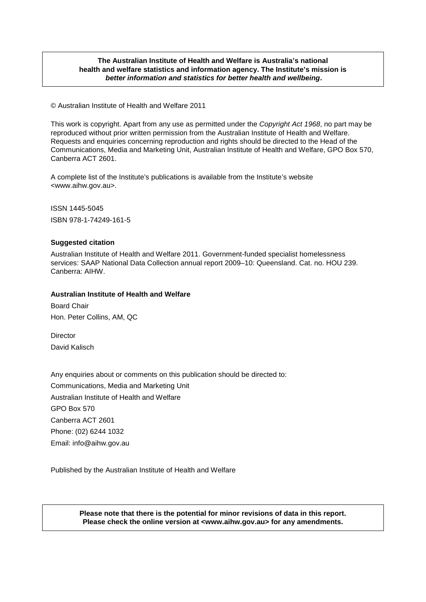#### **The Australian Institute of Health and Welfare is Australia's national health and welfare statistics and information agency. The Institute's mission is** *better information and statistics for better health and wellbeing***.**

© Australian Institute of Health and Welfare 2011

This work is copyright. Apart from any use as permitted under the *Copyright Act 1968*, no part may be reproduced without prior written permission from the Australian Institute of Health and Welfare. Requests and enquiries concerning reproduction and rights should be directed to the Head of the Communications, Media and Marketing Unit, Australian Institute of Health and Welfare, GPO Box 570, Canberra ACT 2601.

A complete list of the Institute's publications is available from the Institute's website <www.aihw.gov.au>.

ISSN 1445-5045 ISBN 978-1-74249-161-5

#### **Suggested citation**

Australian Institute of Health and Welfare 2011. Government-funded specialist homelessness services: SAAP National Data Collection annual report 2009–10: Queensland. Cat. no. HOU 239. Canberra: AIHW.

#### **Australian Institute of Health and Welfare**

Board Chair Hon. Peter Collins, AM, QC

**Director** David Kalisch

Any enquiries about or comments on this publication should be directed to: Communications, Media and Marketing Unit Australian Institute of Health and Welfare GPO Box 570 Canberra ACT 2601 Phone: (02) 6244 1032 Email: info@aihw.gov.au

Published by the Australian Institute of Health and Welfare

**Please note that there is the potential for minor revisions of data in this report. Please check the online version at <www.aihw.gov.au> for any amendments.**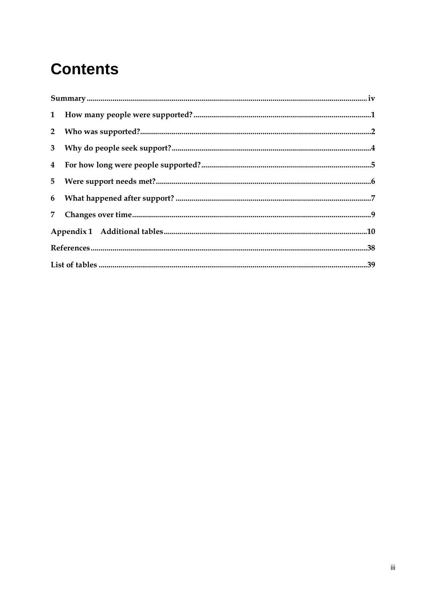## **Contents**

| $\begin{minipage}{0.9\linewidth} \textbf{Summary} \textbf{} \textbf{} \textbf{} \textbf{} \textbf{} \textbf{} \textbf{} \textbf{} \textbf{} \textbf{} \textbf{} \textbf{} \textbf{} \textbf{} \textbf{} \textbf{} \textbf{} \textbf{} \textbf{} \textbf{} \textbf{} \textbf{} \textbf{} \textbf{} \textbf{} \textbf{} \textbf{} \textbf{} \textbf{} \textbf{} \textbf{} \textbf{} \textbf{} \textbf$ |  |
|------------------------------------------------------------------------------------------------------------------------------------------------------------------------------------------------------------------------------------------------------------------------------------------------------------------------------------------------------------------------------------------------------|--|
|                                                                                                                                                                                                                                                                                                                                                                                                      |  |
|                                                                                                                                                                                                                                                                                                                                                                                                      |  |
|                                                                                                                                                                                                                                                                                                                                                                                                      |  |
|                                                                                                                                                                                                                                                                                                                                                                                                      |  |
|                                                                                                                                                                                                                                                                                                                                                                                                      |  |
|                                                                                                                                                                                                                                                                                                                                                                                                      |  |
|                                                                                                                                                                                                                                                                                                                                                                                                      |  |
|                                                                                                                                                                                                                                                                                                                                                                                                      |  |
|                                                                                                                                                                                                                                                                                                                                                                                                      |  |
|                                                                                                                                                                                                                                                                                                                                                                                                      |  |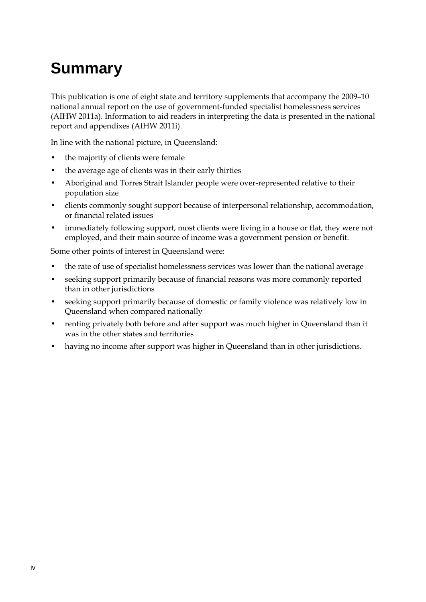## <span id="page-3-0"></span>**Summary**

This publication is one of eight state and territory supplements that accompany the 2009–10 national annual report on the use of government-funded specialist homelessness services (AIHW 2011a). Information to aid readers in interpreting the data is presented in the national report and appendixes (AIHW 2011i).

In line with the national picture, in Queensland:

- the majority of clients were female
- the average age of clients was in their early thirties
- Aboriginal and Torres Strait Islander people were over-represented relative to their population size
- clients commonly sought support because of interpersonal relationship, accommodation, or financial related issues
- immediately following support, most clients were living in a house or flat, they were not employed, and their main source of income was a government pension or benefit.

Some other points of interest in Queensland were:

- the rate of use of specialist homelessness services was lower than the national average
- seeking support primarily because of financial reasons was more commonly reported than in other jurisdictions
- seeking support primarily because of domestic or family violence was relatively low in Queensland when compared nationally
- renting privately both before and after support was much higher in Queensland than it was in the other states and territories
- having no income after support was higher in Queensland than in other jurisdictions.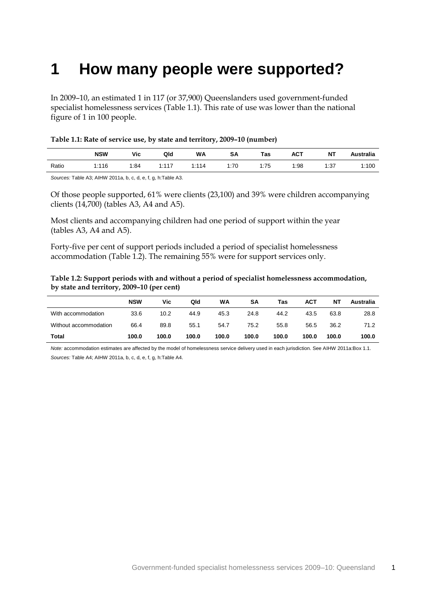### <span id="page-4-0"></span>**1 How many people were supported?**

In 2009–10, an estimated 1 in 117 (or 37,900) Queenslanders used government-funded specialist homelessness services (Table 1.1). This rate of use was lower than the national figure of 1 in 100 people.

<span id="page-4-1"></span>

| Table 1.1: Rate of service use, by state and territory, 2009-10 (number) |  |  |
|--------------------------------------------------------------------------|--|--|
|                                                                          |  |  |

|       | <b>NSW</b> | Vic  | Qld        | <b>WA</b> | SΑ   | Tas  | <b>ACT</b> | ΝT   | <b>Australia</b> |
|-------|------------|------|------------|-----------|------|------|------------|------|------------------|
| Ratio | 1:116      | 1:84 | 1.117<br>. | 1:114     | 1:70 | 1:75 | 1:98       | 1:37 | 1:100            |

*Sources:* Table A3; AIHW 2011a, b, c, d, e, f, g, h:Table A3.

Of those people supported, 61% were clients (23,100) and 39% were children accompanying clients (14,700) (tables A3, A4 and A5).

Most clients and accompanying children had one period of support within the year (tables A3, A4 and A5).

Forty-five per cent of support periods included a period of specialist homelessness accommodation (Table 1.2). The remaining 55% were for support services only.

<span id="page-4-2"></span>

| Table 1.2: Support periods with and without a period of specialist homelessness accommodation, |
|------------------------------------------------------------------------------------------------|
| by state and territory, 2009–10 (per cent)                                                     |

|                       | <b>NSW</b> | Vic   | Qld   | WA    | SΑ    | Tas   | <b>ACT</b> | ΝT    | Australia |
|-----------------------|------------|-------|-------|-------|-------|-------|------------|-------|-----------|
| With accommodation    | 33.6       | 10.2  | 44.9  | 45.3  | 24.8  | 44.2  | 43.5       | 63.8  | 28.8      |
| Without accommodation | 66.4       | 89.8  | 55.1  | 54.7  | 75.2  | 55.8  | 56.5       | 36.2  | 71.2      |
| <b>Total</b>          | 100.0      | 100.0 | 100.0 | 100.0 | 100.0 | 100.0 | 100.0      | 100.0 | 100.0     |

*Note:* accommodation estimates are affected by the model of homelessness service delivery used in each jurisdiction. See AIHW 2011a:Box 1.1. *Sources:* Table A4; AIHW 2011a, b, c, d, e, f, g, h:Table A4.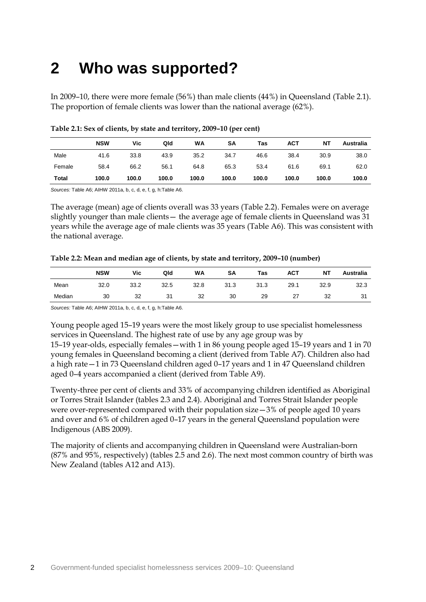## <span id="page-5-0"></span>**2 Who was supported?**

In 2009–10, there were more female (56%) than male clients (44%) in Queensland (Table 2.1). The proportion of female clients was lower than the national average (62%).

|        | <b>NSW</b> | Vic   | Qld   | WA    | SΑ    | Tas   | <b>ACT</b> | ΝT    | Australia |
|--------|------------|-------|-------|-------|-------|-------|------------|-------|-----------|
| Male   | 41.6       | 33.8  | 43.9  | 35.2  | 34.7  | 46.6  | 38.4       | 30.9  | 38.0      |
| Female | 58.4       | 66.2  | 56.1  | 64.8  | 65.3  | 53.4  | 61.6       | 69.1  | 62.0      |
| Total  | 100.0      | 100.0 | 100.0 | 100.0 | 100.0 | 100.0 | 100.0      | 100.0 | 100.0     |

<span id="page-5-1"></span>

| Table 2.1: Sex of clients, by state and territory, 2009-10 (per cent) |  |  |
|-----------------------------------------------------------------------|--|--|
|-----------------------------------------------------------------------|--|--|

*Sources:* Table A6; AIHW 2011a, b, c, d, e, f, g, h:Table A6.

The average (mean) age of clients overall was 33 years (Table 2.2). Females were on average slightly younger than male clients— the average age of female clients in Queensland was 31 years while the average age of male clients was 35 years (Table A6). This was consistent with the national average.

<span id="page-5-2"></span>

| Table 2.2: Mean and median age of clients, by state and territory, 2009-10 (number) |  |  |  |
|-------------------------------------------------------------------------------------|--|--|--|
|                                                                                     |  |  |  |

|        | <b>NSW</b> | Vic  | Qld  | WA   | <b>SA</b> | Tas  | <b>ACT</b> | NT   | Australia |
|--------|------------|------|------|------|-----------|------|------------|------|-----------|
| Mean   | 32.0       | 33.2 | 32.5 | 32.8 | 31.3      | 31.3 | 29.1       | 32.9 | 32.3      |
| Median | 30         | 32   | 31   | 32   | 30        | 29   | 27         | 32   | 31        |

*Sources:* Table A6; AIHW 2011a, b, c, d, e, f, g, h:Table A6.

Young people aged 15–19 years were the most likely group to use specialist homelessness services in Queensland. The highest rate of use by any age group was by

15–19 year-olds, especially females—with 1 in 86 young people aged 15–19 years and 1 in 70 young females in Queensland becoming a client (derived from Table A7). Children also had a high rate—1 in 73 Queensland children aged 0–17 years and 1 in 47 Queensland children aged 0–4 years accompanied a client (derived from Table A9).

Twenty-three per cent of clients and 33% of accompanying children identified as Aboriginal or Torres Strait Islander (tables 2.3 and 2.4). Aboriginal and Torres Strait Islander people were over-represented compared with their population size—3% of people aged 10 years and over and 6% of children aged 0–17 years in the general Queensland population were Indigenous (ABS 2009).

The majority of clients and accompanying children in Queensland were Australian-born (87% and 95%, respectively) (tables 2.5 and 2.6). The next most common country of birth was New Zealand (tables A12 and A13).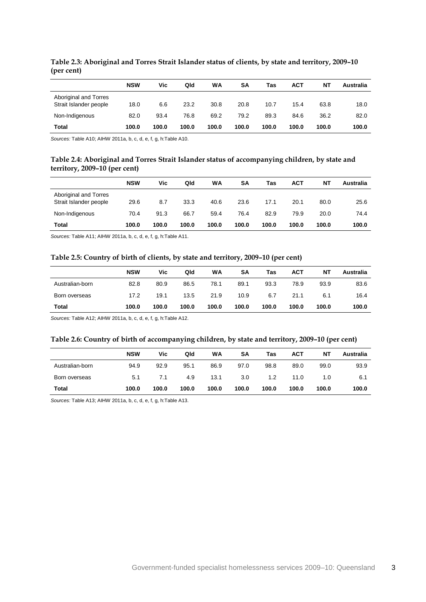|                                                 | <b>NSW</b> | Vic   | Qld   | WA    | <b>SA</b> | Tas   | ACT   | NΤ    | Australia |
|-------------------------------------------------|------------|-------|-------|-------|-----------|-------|-------|-------|-----------|
| Aboriginal and Torres<br>Strait Islander people | 18.0       | 6.6   | 23.2  | 30.8  | 20.8      | 10.7  | 15.4  | 63.8  | 18.0      |
| Non-Indigenous                                  | 82.0       | 93.4  | 76.8  | 69.2  | 79.2      | 89.3  | 84.6  | 36.2  | 82.0      |
| Total                                           | 100.0      | 100.0 | 100.0 | 100.0 | 100.0     | 100.0 | 100.0 | 100.0 | 100.0     |

<span id="page-6-0"></span>**Table 2.3: Aboriginal and Torres Strait Islander status of clients, by state and territory, 2009–10 (per cent)**

<span id="page-6-1"></span>*Sources:* Table A10; AIHW 2011a, b, c, d, e, f, g, h:Table A10.

#### **Table 2.4: Aboriginal and Torres Strait Islander status of accompanying children, by state and territory, 2009–10 (per cent)**

|                                                 | <b>NSW</b> | Vic   | Qld   | WA    | SΑ    | Tas   | <b>ACT</b> | ΝT    | Australia |
|-------------------------------------------------|------------|-------|-------|-------|-------|-------|------------|-------|-----------|
| Aboriginal and Torres<br>Strait Islander people | 29.6       | 8.7   | 33.3  | 40.6  | 23.6  | 17.1  | 20.1       | 80.0  | 25.6      |
| Non-Indigenous                                  | 70.4       | 91.3  | 66.7  | 59.4  | 76.4  | 82.9  | 79.9       | 20.0  | 74.4      |
| <b>Total</b>                                    | 100.0      | 100.0 | 100.0 | 100.0 | 100.0 | 100.0 | 100.0      | 100.0 | 100.0     |

<span id="page-6-2"></span>*Sources:* Table A11; AIHW 2011a, b, c, d, e, f, g, h:Table A11.

#### **Table 2.5: Country of birth of clients, by state and territory, 2009–10 (per cent)**

|                 | <b>NSW</b> | Vic   | Qld   | WA    | SΑ    | Tas   | <b>ACT</b> | ΝT    | Australia |
|-----------------|------------|-------|-------|-------|-------|-------|------------|-------|-----------|
|                 |            |       |       |       |       |       |            |       |           |
| Australian-born | 82.8       | 80.9  | 86.5  | 78.1  | 89.1  | 93.3  | 78.9       | 93.9  | 83.6      |
| Born overseas   | 17.2       | 19.1  | 13.5  | 21.9  | 10.9  | 6.7   | 21.1       | 6.1   | 16.4      |
| Total           | 100.0      | 100.0 | 100.0 | 100.0 | 100.0 | 100.0 | 100.0      | 100.0 | 100.0     |

<span id="page-6-3"></span>*Sources:* Table A12; AIHW 2011a, b, c, d, e, f, g, h:Table A12.

#### **Table 2.6: Country of birth of accompanying children, by state and territory, 2009–10 (per cent)**

|                 | <b>NSW</b> | Vic   | Qld   | WA    | SA    | Tas   | <b>ACT</b> | NΤ    | Australia |
|-----------------|------------|-------|-------|-------|-------|-------|------------|-------|-----------|
| Australian-born | 94.9       | 92.9  | 95.1  | 86.9  | 97.0  | 98.8  | 89.0       | 99.0  | 93.9      |
| Born overseas   | 5.1        | 7.1   | 4.9   | 13.1  | 3.0   | 1.2   | 11.0       | 1.0   | 6.1       |
| <b>Total</b>    | 100.0      | 100.0 | 100.0 | 100.0 | 100.0 | 100.0 | 100.0      | 100.0 | 100.0     |

*Sources:* Table A13; AIHW 2011a, b, c, d, e, f, g, h:Table A13.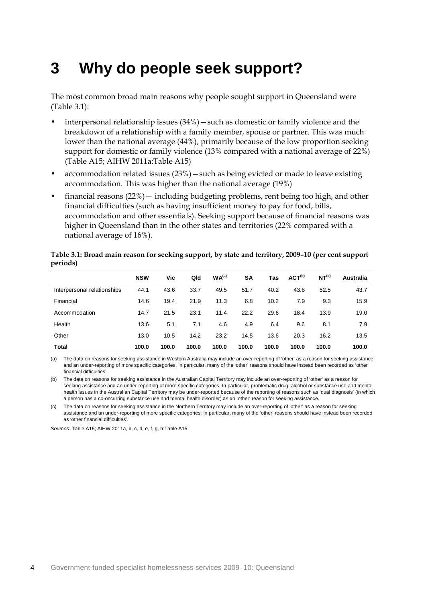### <span id="page-7-0"></span>**3 Why do people seek support?**

The most common broad main reasons why people sought support in Queensland were (Table 3.1):

- interpersonal relationship issues  $(34%)$  such as domestic or family violence and the breakdown of a relationship with a family member, spouse or partner. This was much lower than the national average (44%), primarily because of the low proportion seeking support for domestic or family violence (13% compared with a national average of 22%) (Table A15; AIHW 2011a:Table A15)
- accommodation related issues  $(23%)$  such as being evicted or made to leave existing accommodation. This was higher than the national average (19%)
- financial reasons  $(22%)$  including budgeting problems, rent being too high, and other financial difficulties (such as having insufficient money to pay for food, bills, accommodation and other essentials). Seeking support because of financial reasons was higher in Queensland than in the other states and territories (22% compared with a national average of 16%).

|                             | <b>NSW</b> | Vic   | Qld   | WA <sup>(a)</sup> | <b>SA</b> | <b>Tas</b> | ACT <sup>(b)</sup> | NT <sup>(c)</sup> | Australia |
|-----------------------------|------------|-------|-------|-------------------|-----------|------------|--------------------|-------------------|-----------|
| Interpersonal relationships | 44.1       | 43.6  | 33.7  | 49.5              | 51.7      | 40.2       | 43.8               | 52.5              | 43.7      |
| Financial                   | 14.6       | 19.4  | 21.9  | 11.3              | 6.8       | 10.2       | 7.9                | 9.3               | 15.9      |
| Accommodation               | 14.7       | 21.5  | 23.1  | 11.4              | 22.2      | 29.6       | 18.4               | 13.9              | 19.0      |
| Health                      | 13.6       | 5.1   | 7.1   | 4.6               | 4.9       | 6.4        | 9.6                | 8.1               | 7.9       |
| Other                       | 13.0       | 10.5  | 14.2  | 23.2              | 14.5      | 13.6       | 20.3               | 16.2              | 13.5      |
| Total                       | 100.0      | 100.0 | 100.0 | 100.0             | 100.0     | 100.0      | 100.0              | 100.0             | 100.0     |

### <span id="page-7-1"></span>**Table 3.1: Broad main reason for seeking support, by state and territory, 2009–10 (per cent support periods)**

(a) The data on reasons for seeking assistance in Western Australia may include an over-reporting of 'other' as a reason for seeking assistance and an under-reporting of more specific categories. In particular, many of the 'other' reasons should have instead been recorded as 'other financial difficulties'.

(b) The data on reasons for seeking assistance in the Australian Capital Territory may include an over-reporting of 'other' as a reason for seeking assistance and an under-reporting of more specific categories. In particular, problematic drug, alcohol or substance use and mental health issues in the Australian Capital Territory may be under-reported because of the reporting of reasons such as 'dual diagnosis' (in which a person has a co-occurring substance use and mental health disorder) as an 'other' reason for seeking assistance.

(c) The data on reasons for seeking assistance in the Northern Territory may include an over-reporting of 'other' as a reason for seeking assistance and an under-reporting of more specific categories. In particular, many of the 'other' reasons should have instead been recorded as 'other financial difficulties'.

*Sources:* Table A15; AIHW 2011a, b, c, d, e, f, g, h:Table A15.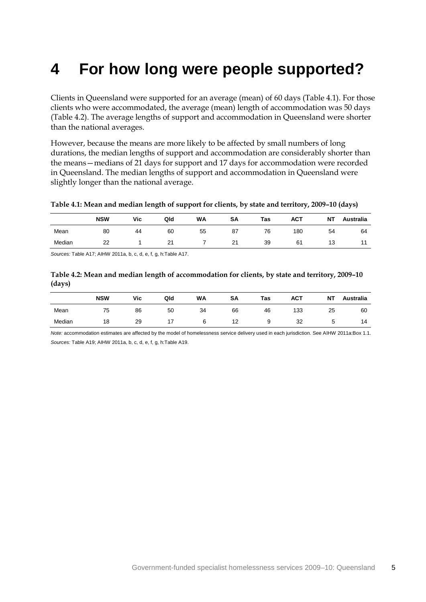## <span id="page-8-0"></span>**4 For how long were people supported?**

Clients in Queensland were supported for an average (mean) of 60 days (Table 4.1). For those clients who were accommodated, the average (mean) length of accommodation was 50 days (Table 4.2). The average lengths of support and accommodation in Queensland were shorter than the national averages.

However, because the means are more likely to be affected by small numbers of long durations, the median lengths of support and accommodation are considerably shorter than the means—medians of 21 days for support and 17 days for accommodation were recorded in Queensland. The median lengths of support and accommodation in Queensland were slightly longer than the national average.

#### <span id="page-8-1"></span>**Table 4.1: Mean and median length of support for clients, by state and territory, 2009–10 (days)**

|        | <b>NSW</b> | Vic | Qld | <b>WA</b> | SΑ | Tas | <b>ACT</b> | NT | <b>Australia</b> |
|--------|------------|-----|-----|-----------|----|-----|------------|----|------------------|
| Mean   | 80         | 44  | 60  | 55        | 87 | 76  | 180        | 54 | 64               |
| Median | 22         |     | 21  |           | 21 | 39  | 61         | 13 | 44               |

<span id="page-8-2"></span>*Sources:* Table A17; AIHW 2011a, b, c, d, e, f, g, h:Table A17.

**Table 4.2: Mean and median length of accommodation for clients, by state and territory, 2009–10 (days)**

|        | <b>NSW</b> | Vic | Qld | <b>WA</b> | SΑ | <b>Tas</b> | <b>ACT</b> | <b>NT</b> | <b>Australia</b> |
|--------|------------|-----|-----|-----------|----|------------|------------|-----------|------------------|
| Mean   | 75         | 86  | 50  | 34        | 66 | 46         | 133        | 25        | 60               |
| Median | 18         | 29  |     | 6         | 12 | a          | 32         | ∽<br>◡    | 14               |

*Note:* accommodation estimates are affected by the model of homelessness service delivery used in each jurisdiction. See AIHW 2011a:Box 1.1. *Sources:* Table A19; AIHW 2011a, b, c, d, e, f, g, h:Table A19.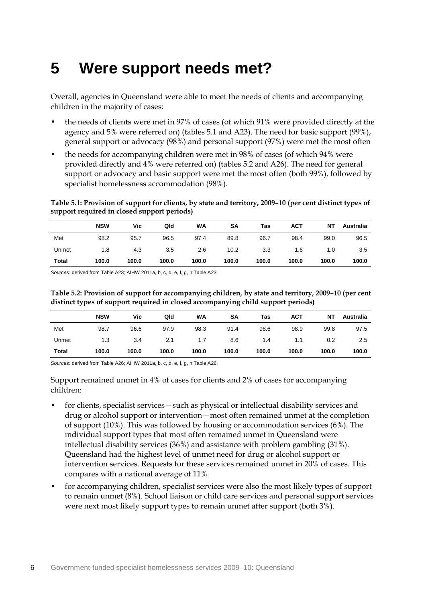### <span id="page-9-0"></span>**5 Were support needs met?**

Overall, agencies in Queensland were able to meet the needs of clients and accompanying children in the majority of cases:

- the needs of clients were met in 97% of cases (of which 91% were provided directly at the agency and 5% were referred on) (tables 5.1 and A23). The need for basic support (99%), general support or advocacy (98%) and personal support (97%) were met the most often
- the needs for accompanying children were met in 98% of cases (of which 94% were provided directly and 4% were referred on) (tables 5.2 and A26). The need for general support or advocacy and basic support were met the most often (both 99%), followed by specialist homelessness accommodation (98%).

<span id="page-9-1"></span>**Table 5.1: Provision of support for clients, by state and territory, 2009–10 (per cent distinct types of support required in closed support periods)**

|              | <b>NSW</b> | Vic   | Qld   | <b>WA</b> | SΑ    | Tas   | ACT   | NΤ    | Australia |
|--------------|------------|-------|-------|-----------|-------|-------|-------|-------|-----------|
| Met          | 98.2       | 95.7  | 96.5  | 97.4      | 89.8  | 96.7  | 98.4  | 99.0  | 96.5      |
| Unmet        | 1.8        | 4.3   | 3.5   | 2.6       | 10.2  | 3.3   | 1.6   | 1.0   | 3.5       |
| <b>Total</b> | 100.0      | 100.0 | 100.0 | 100.0     | 100.0 | 100.0 | 100.0 | 100.0 | 100.0     |

<span id="page-9-2"></span>*Sources:* derived from Table A23; AIHW 2011a, b, c, d, e, f, g, h:Table A23.

**Table 5.2: Provision of support for accompanying children, by state and territory, 2009–10 (per cent distinct types of support required in closed accompanying child support periods)**

|              | <b>NSW</b> | Vic   | Qld   | WA    | SΑ    | Tas   | ACT   | NΤ    | Australia |
|--------------|------------|-------|-------|-------|-------|-------|-------|-------|-----------|
| Met          | 98.7       | 96.6  | 97.9  | 98.3  | 91.4  | 98.6  | 98.9  | 99.8  | 97.5      |
| Unmet        | 1.3        | 3.4   | 2.1   | 1.7   | 8.6   | 1.4   | 1.1   | 0.2   | $2.5\,$   |
| <b>Total</b> | 100.0      | 100.0 | 100.0 | 100.0 | 100.0 | 100.0 | 100.0 | 100.0 | 100.0     |

*Sources:* derived from Table A26; AIHW 2011a, b, c, d, e, f, g, h:Table A26.

Support remained unmet in 4% of cases for clients and 2% of cases for accompanying children:

- for clients, specialist services such as physical or intellectual disability services and drug or alcohol support or intervention—most often remained unmet at the completion of support (10%). This was followed by housing or accommodation services (6%). The individual support types that most often remained unmet in Queensland were intellectual disability services (36%) and assistance with problem gambling (31%). Queensland had the highest level of unmet need for drug or alcohol support or intervention services. Requests for these services remained unmet in 20% of cases. This compares with a national average of 11%
- for accompanying children, specialist services were also the most likely types of support to remain unmet (8%). School liaison or child care services and personal support services were next most likely support types to remain unmet after support (both 3%).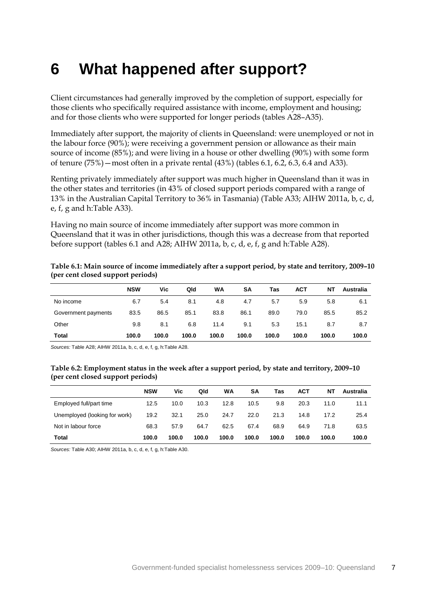### <span id="page-10-0"></span>**6 What happened after support?**

Client circumstances had generally improved by the completion of support, especially for those clients who specifically required assistance with income, employment and housing; and for those clients who were supported for longer periods (tables A28–A35).

Immediately after support, the majority of clients in Queensland: were unemployed or not in the labour force (90%); were receiving a government pension or allowance as their main source of income (85%); and were living in a house or other dwelling (90%) with some form of tenure (75%)—most often in a private rental (43%) (tables 6.1, 6.2, 6.3, 6.4 and A33).

Renting privately immediately after support was much higher in Queensland than it was in the other states and territories (in 43% of closed support periods compared with a range of 13% in the Australian Capital Territory to 36% in Tasmania) (Table A33; AIHW 2011a, b, c, d, e, f, g and h:Table A33).

Having no main source of income immediately after support was more common in Queensland that it was in other jurisdictions, though this was a decrease from that reported before support (tables 6.1 and A28; AIHW 2011a, b, c, d, e, f, g and h:Table A28).

<span id="page-10-1"></span>

| Table 6.1: Main source of income immediately after a support period, by state and territory, 2009-10 |  |
|------------------------------------------------------------------------------------------------------|--|
| (per cent closed support periods)                                                                    |  |

|                     | <b>NSW</b> | Vic   | Qld   | <b>WA</b> | SΑ    | Tas   | <b>ACT</b> | NΤ    | Australia |
|---------------------|------------|-------|-------|-----------|-------|-------|------------|-------|-----------|
| No income           | 6.7        | 5.4   | 8.1   | 4.8       | 4.7   | 5.7   | 5.9        | 5.8   | 6.1       |
| Government payments | 83.5       | 86.5  | 85.1  | 83.8      | 86.1  | 89.0  | 79.0       | 85.5  | 85.2      |
| Other               | 9.8        | 8.1   | 6.8   | 11.4      | 9.1   | 5.3   | 15.1       | 8.7   | 8.7       |
| <b>Total</b>        | 100.0      | 100.0 | 100.0 | 100.0     | 100.0 | 100.0 | 100.0      | 100.0 | 100.0     |

<span id="page-10-2"></span>*Sources:* Table A28; AIHW 2011a, b, c, d, e, f, g, h:Table A28.

#### **Table 6.2: Employment status in the week after a support period, by state and territory, 2009–10 (per cent closed support periods)**

|                               | <b>NSW</b> | Vic   | Qld   | WA    | SΑ    | Tas   | ACT   | NΤ    | Australia |
|-------------------------------|------------|-------|-------|-------|-------|-------|-------|-------|-----------|
| Employed full/part time       | 12.5       | 10.0  | 10.3  | 12.8  | 10.5  | 9.8   | 20.3  | 11.0  | 11.1      |
| Unemployed (looking for work) | 19.2       | 32.1  | 25.0  | 24.7  | 22.0  | 21.3  | 14.8  | 17.2  | 25.4      |
| Not in labour force           | 68.3       | 57.9  | 64.7  | 62.5  | 67.4  | 68.9  | 64.9  | 71.8  | 63.5      |
| Total                         | 100.0      | 100.0 | 100.0 | 100.0 | 100.0 | 100.0 | 100.0 | 100.0 | 100.0     |

*Sources:* Table A30; AIHW 2011a, b, c, d, e, f, g, h:Table A30.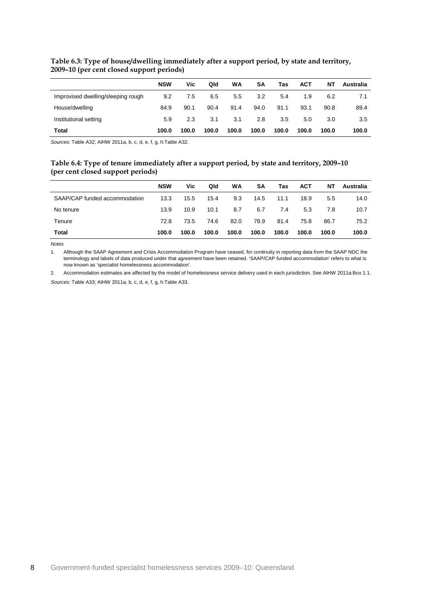|                                    | <b>NSW</b> | Vic   | Qld   | WA    | SΑ    | Tas   | ACT   | NΤ    | Australia |
|------------------------------------|------------|-------|-------|-------|-------|-------|-------|-------|-----------|
| Improvised dwelling/sleeping rough | 9.2        | 7.5   | 6.5   | 5.5   | 3.2   | 5.4   | 1.9   | 6.2   | 7.1       |
| House/dwelling                     | 84.9       | 90.1  | 90.4  | 91.4  | 94.0  | 91.1  | 93.1  | 90.8  | 89.4      |
| Institutional setting              | 5.9        | 2.3   | 3.1   | 3.1   | 2.8   | 3.5   | 5.0   | 3.0   | 3.5       |
| <b>Total</b>                       | 100.0      | 100.0 | 100.0 | 100.0 | 100.0 | 100.0 | 100.0 | 100.0 | 100.0     |

### <span id="page-11-0"></span>**Table 6.3: Type of house/dwelling immediately after a support period, by state and territory, 2009–10 (per cent closed support periods)**

<span id="page-11-1"></span>*Sources:* Table A32; AIHW 2011a, b, c, d, e, f, g, h:Table A32.

#### **Table 6.4: Type of tenure immediately after a support period, by state and territory, 2009–10 (per cent closed support periods)**

|                               | <b>NSW</b> | Vic   | Qld   | <b>WA</b> | SΑ    | Tas   | <b>ACT</b> | NT    | Australia |
|-------------------------------|------------|-------|-------|-----------|-------|-------|------------|-------|-----------|
| SAAP/CAP funded accommodation | 13.3       | 15.5  | 15.4  | 9.3       | 14.5  | 11.1  | 18.9       | 5.5   | 14.0      |
| No tenure                     | 13.9       | 10.9  | 10.1  | 8.7       | 6.7   | 7.4   | 5.3        | 7.8   | 10.7      |
| Tenure                        | 72.8       | 73.5  | 74.6  | 82.0      | 78.9  | 81.4  | 75.8       | 86.7  | 75.2      |
| <b>Total</b>                  | 100.0      | 100.0 | 100.0 | 100.0     | 100.0 | 100.0 | 100.0      | 100.0 | 100.0     |

*Notes*

1. Although the SAAP Agreement and Crisis Accommodation Program have ceased, for continuity in reporting data from the SAAP NDC the terminology and labels of data produced under that agreement have been retained. 'SAAP/CAP funded accommodation' refers to what is now known as 'specialist homelessness accommodation'.

2. Accommodation estimates are affected by the model of homelessness service delivery used in each jurisdiction. See AIHW 2011a:Box 1.1. *Sources:* Table A33; AIHW 2011a, b, c, d, e, f, g, h:Table A33.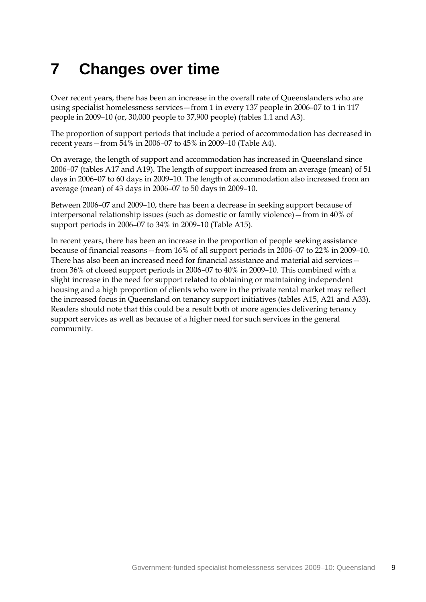## <span id="page-12-0"></span>**7 Changes over time**

Over recent years, there has been an increase in the overall rate of Queenslanders who are using specialist homelessness services—from 1 in every 137 people in 2006–07 to 1 in 117 people in 2009–10 (or, 30,000 people to 37,900 people) (tables 1.1 and A3).

The proportion of support periods that include a period of accommodation has decreased in recent years—from 54% in 2006–07 to 45% in 2009–10 (Table A4).

On average, the length of support and accommodation has increased in Queensland since 2006–07 (tables A17 and A19). The length of support increased from an average (mean) of 51 days in 2006–07 to 60 days in 2009–10. The length of accommodation also increased from an average (mean) of 43 days in 2006–07 to 50 days in 2009–10.

Between 2006–07 and 2009–10, there has been a decrease in seeking support because of interpersonal relationship issues (such as domestic or family violence)—from in 40% of support periods in 2006–07 to 34% in 2009–10 (Table A15).

In recent years, there has been an increase in the proportion of people seeking assistance because of financial reasons—from 16% of all support periods in 2006–07 to 22% in 2009–10. There has also been an increased need for financial assistance and material aid services from 36% of closed support periods in 2006–07 to 40% in 2009–10. This combined with a slight increase in the need for support related to obtaining or maintaining independent housing and a high proportion of clients who were in the private rental market may reflect the increased focus in Queensland on tenancy support initiatives (tables A15, A21 and A33). Readers should note that this could be a result both of more agencies delivering tenancy support services as well as because of a higher need for such services in the general community.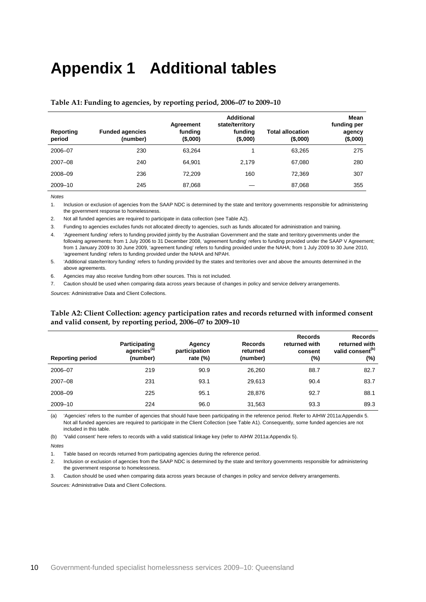## <span id="page-13-0"></span>**Appendix 1 Additional tables**

| Reporting<br>period | <b>Funded agencies</b><br>(number) | Agreement<br>funding<br>(\$,000) | <b>Additional</b><br>state/territory<br>funding<br>(\$,000) | <b>Total allocation</b><br>$($ \$,000) | Mean<br>funding per<br>agency<br>$($ \$,000) |
|---------------------|------------------------------------|----------------------------------|-------------------------------------------------------------|----------------------------------------|----------------------------------------------|
| 2006-07             | 230                                | 63.264                           |                                                             | 63.265                                 | 275                                          |
| $2007 - 08$         | 240                                | 64.901                           | 2.179                                                       | 67.080                                 | 280                                          |
| 2008-09             | 236                                | 72.209                           | 160                                                         | 72.369                                 | 307                                          |
| 2009-10             | 245                                | 87,068                           |                                                             | 87,068                                 | 355                                          |

#### <span id="page-13-1"></span>**Table A1: Funding to agencies, by reporting period, 2006–07 to 2009–10**

*Notes*

1. Inclusion or exclusion of agencies from the SAAP NDC is determined by the state and territory governments responsible for administering the government response to homelessness.

2. Not all funded agencies are required to participate in data collection (see Table A2).

3. Funding to agencies excludes funds not allocated directly to agencies, such as funds allocated for administration and training.

4. 'Agreement funding' refers to funding provided jointly by the Australian Government and the state and territory governments under the following agreements: from 1 July 2006 to 31 December 2008, 'agreement funding' refers to funding provided under the SAAP V Agreement; from 1 January 2009 to 30 June 2009, 'agreement funding' refers to funding provided under the NAHA; from 1 July 2009 to 30 June 2010, 'agreement funding' refers to funding provided under the NAHA and NPAH.

5. 'Additional state/territory funding' refers to funding provided by the states and territories over and above the amounts determined in the above agreements

6. Agencies may also receive funding from other sources. This is not included.

7. Caution should be used when comparing data across years because of changes in policy and service delivery arrangements.

<span id="page-13-2"></span>*Sources:* Administrative Data and Client Collections.

#### **Table A2: Client Collection: agency participation rates and records returned with informed consent and valid consent, by reporting period, 2006–07 to 2009–10**

| <b>Reporting period</b> | Participating<br>agencies <sup>(a)</sup><br>(number) | Agency<br>participation<br>rate $(\%)$ | <b>Records</b><br>returned<br>(number) | <b>Records</b><br>returned with<br>consent<br>(%) | <b>Records</b><br>returned with<br>valid consent <sup>(b)</sup><br>(%) |
|-------------------------|------------------------------------------------------|----------------------------------------|----------------------------------------|---------------------------------------------------|------------------------------------------------------------------------|
| 2006-07                 | 219                                                  | 90.9                                   | 26,260                                 | 88.7                                              | 82.7                                                                   |
| $2007 - 08$             | 231                                                  | 93.1                                   | 29.613                                 | 90.4                                              | 83.7                                                                   |
| 2008-09                 | 225                                                  | 95.1                                   | 28.876                                 | 92.7                                              | 88.1                                                                   |
| 2009-10                 | 224                                                  | 96.0                                   | 31,563                                 | 93.3                                              | 89.3                                                                   |

(a) 'Agencies' refers to the number of agencies that should have been participating in the reference period. Refer to AIHW 2011a:Appendix 5. Not all funded agencies are required to participate in the Client Collection (see Table A1). Consequently, some funded agencies are not included in this table.

(b) 'Valid consent' here refers to records with a valid statistical linkage key (refer to AIHW 2011a:Appendix 5).

*Notes*

1. Table based on records returned from participating agencies during the reference period.

2. Inclusion or exclusion of agencies from the SAAP NDC is determined by the state and territory governments responsible for administering the government response to homelessness.

3. Caution should be used when comparing data across years because of changes in policy and service delivery arrangements.

*Sources:* Administrative Data and Client Collections.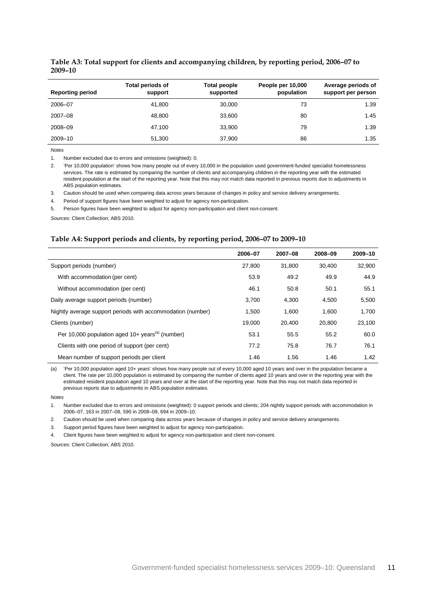| <b>Reporting period</b> | <b>Total periods of</b><br>support | Total people<br>supported | People per 10,000<br>population | Average periods of<br>support per person |
|-------------------------|------------------------------------|---------------------------|---------------------------------|------------------------------------------|
| 2006-07                 | 41.800                             | 30,000                    | 73                              | 1.39                                     |
| $2007 - 08$             | 48,800                             | 33,600                    | 80                              | 1.45                                     |
| 2008-09                 | 47.100                             | 33.900                    | 79                              | 1.39                                     |
| 2009-10                 | 51.300                             | 37,900                    | 86                              | 1.35                                     |

#### <span id="page-14-0"></span>**Table A3: Total support for clients and accompanying children, by reporting period, 2006–07 to 2009–10**

*Notes*

1. Number excluded due to errors and omissions (weighted): 0.

2. 'Per 10,000 population' shows how many people out of every 10,000 in the population used government-funded specialist homelessness services. The rate is estimated by comparing the number of clients and accompanying children in the reporting year with the estimated resident population at the start of the reporting year. Note that this may not match data reported in previous reports due to adjustments in ABS population estimates.

3. Caution should be used when comparing data across years because of changes in policy and service delivery arrangements.

4. Period of support figures have been weighted to adjust for agency non-participation.

5. Person figures have been weighted to adjust for agency non-participation and client non-consent.

<span id="page-14-1"></span>*Sources:* Client Collection; ABS 2010.

#### **Table A4: Support periods and clients, by reporting period, 2006–07 to 2009–10**

|                                                                | 2006-07 | 2007-08 | 2008-09 | 2009-10 |
|----------------------------------------------------------------|---------|---------|---------|---------|
| Support periods (number)                                       | 27,800  | 31.800  | 30.400  | 32,900  |
| With accommodation (per cent)                                  | 53.9    | 49.2    | 49.9    | 44.9    |
| Without accommodation (per cent)                               | 46.1    | 50.8    | 50.1    | 55.1    |
| Daily average support periods (number)                         | 3.700   | 4.300   | 4.500   | 5,500   |
| Nightly average support periods with accommodation (number)    | 1.500   | 1.600   | 1.600   | 1,700   |
| Clients (number)                                               | 19,000  | 20,400  | 20,800  | 23,100  |
| Per 10,000 population aged $10+$ years <sup>(a)</sup> (number) | 53.1    | 55.5    | 55.2    | 60.0    |
| Clients with one period of support (per cent)                  | 77.2    | 75.8    | 76.7    | 76.1    |
| Mean number of support periods per client                      | 1.46    | 1.56    | 1.46    | 1.42    |

(a) 'Per 10,000 population aged 10+ years' shows how many people out of every 10,000 aged 10 years and over in the population became a client. The rate per 10,000 population is estimated by comparing the number of clients aged 10 years and over in the reporting year with the estimated resident population aged 10 years and over at the start of the reporting year. Note that this may not match data reported in previous reports due to adjustments in ABS population estimates.

*Notes*

1. Number excluded due to errors and omissions (weighted): 0 support periods and clients; 204 nightly support periods with accommodation in 2006–07, 163 in 2007–08, 590 in 2008–09, 694 in 2009–10.

2. Caution should be used when comparing data across years because of changes in policy and service delivery arrangements.

3. Support period figures have been weighted to adjust for agency non-participation.

4. Client figures have been weighted to adjust for agency non-participation and client non-consent.

*Sources:* Client Collection; ABS 2010.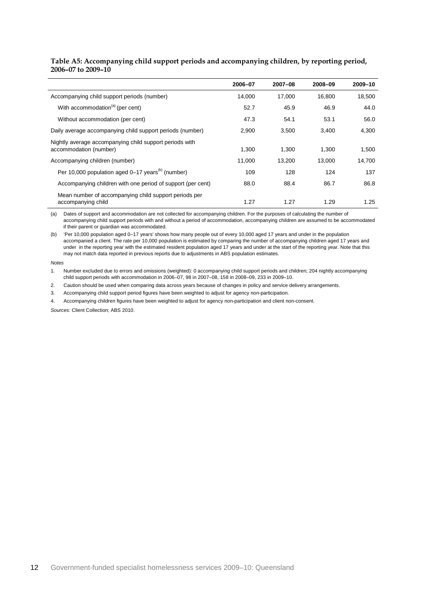#### <span id="page-15-0"></span>**Table A5: Accompanying child support periods and accompanying children, by reporting period, 2006–07 to 2009–10**

|                                                                                   | 2006-07 | 2007-08 | 2008-09 | 2009-10 |
|-----------------------------------------------------------------------------------|---------|---------|---------|---------|
| Accompanying child support periods (number)                                       | 14.000  | 17.000  | 16.800  | 18,500  |
| With accommodation <sup>(a)</sup> (per cent)                                      | 52.7    | 45.9    | 46.9    | 44.0    |
| Without accommodation (per cent)                                                  | 47.3    | 54.1    | 53.1    | 56.0    |
| Daily average accompanying child support periods (number)                         | 2,900   | 3,500   | 3,400   | 4,300   |
| Nightly average accompanying child support periods with<br>accommodation (number) | 1,300   | 1,300   | 1.300   | 1,500   |
| Accompanying children (number)                                                    | 11.000  | 13,200  | 13,000  | 14,700  |
| Per 10,000 population aged 0–17 years <sup>(b)</sup> (number)                     | 109     | 128     | 124     | 137     |
| Accompanying children with one period of support (per cent)                       | 88.0    | 88.4    | 86.7    | 86.8    |
| Mean number of accompanying child support periods per<br>accompanying child       | 1.27    | 1.27    | 1.29    | 1.25    |

(a) Dates of support and accommodation are not collected for accompanying children. For the purposes of calculating the number of accompanying child support periods with and without a period of accommodation, accompanying children are assumed to be accommodated if their parent or guardian was accommodated.

(b) 'Per 10,000 population aged 0–17 years' shows how many people out of every 10,000 aged 17 years and under in the population accompanied a client. The rate per 10,000 population is estimated by comparing the number of accompanying children aged 17 years and under in the reporting year with the estimated resident population aged 17 years and under at the start of the reporting year. Note that this may not match data reported in previous reports due to adjustments in ABS population estimates.

*Notes*

1. Number excluded due to errors and omissions (weighted): 0 accompanying child support periods and children; 204 nightly accompanying child support periods with accommodation in 2006–07, 98 in 2007–08, 158 in 2008–09, 233 in 2009–10.

2. Caution should be used when comparing data across years because of changes in policy and service delivery arrangements.

3. Accompanying child support period figures have been weighted to adjust for agency non-participation.

4. Accompanying children figures have been weighted to adjust for agency non-participation and client non-consent.

*Sources:* Client Collection; ABS 2010.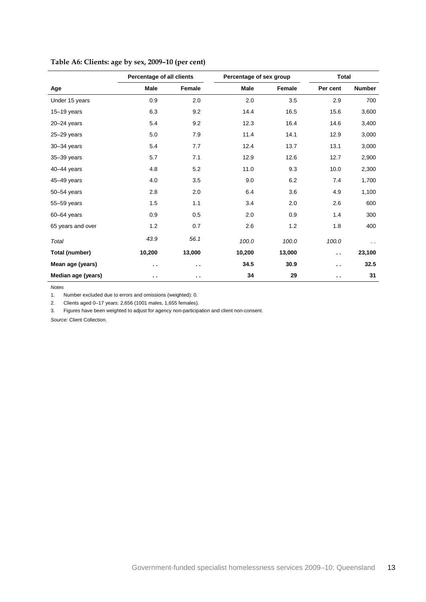|                    | Percentage of all clients |                      | Percentage of sex group |        | <b>Total</b>         |               |
|--------------------|---------------------------|----------------------|-------------------------|--------|----------------------|---------------|
| Age                | Male                      | Female               | Male                    | Female | Per cent             | <b>Number</b> |
| Under 15 years     | 0.9                       | 2.0                  | 2.0                     | 3.5    | 2.9                  | 700           |
| $15 - 19$ years    | 6.3                       | 9.2                  | 14.4                    | 16.5   | 15.6                 | 3,600         |
| $20 - 24$ years    | 5.4                       | 9.2                  | 12.3                    | 16.4   | 14.6                 | 3,400         |
| 25-29 years        | 5.0                       | 7.9                  | 11.4                    | 14.1   | 12.9                 | 3,000         |
| 30-34 years        | 5.4                       | 7.7                  | 12.4                    | 13.7   | 13.1                 | 3,000         |
| 35-39 years        | 5.7                       | 7.1                  | 12.9                    | 12.6   | 12.7                 | 2,900         |
| 40-44 years        | 4.8                       | 5.2                  | 11.0                    | 9.3    | 10.0                 | 2,300         |
| 45-49 years        | 4.0                       | 3.5                  | 9.0                     | 6.2    | 7.4                  | 1,700         |
| 50-54 years        | 2.8                       | 2.0                  | 6.4                     | 3.6    | 4.9                  | 1,100         |
| 55-59 years        | 1.5                       | 1.1                  | 3.4                     | 2.0    | 2.6                  | 600           |
| $60 - 64$ years    | 0.9                       | 0.5                  | 2.0                     | 0.9    | 1.4                  | 300           |
| 65 years and over  | 1.2                       | 0.7                  | 2.6                     | 1.2    | 1.8                  | 400           |
| Total              | 43.9                      | 56.1                 | 100.0                   | 100.0  | 100.0                | . .           |
| Total (number)     | 10,200                    | 13,000               | 10,200                  | 13,000 | $\ddot{\phantom{a}}$ | 23,100        |
| Mean age (years)   | $\ddot{\phantom{1}}$      | $\ddot{\phantom{1}}$ | 34.5                    | 30.9   | $\ddot{\phantom{0}}$ | 32.5          |
| Median age (years) | $\ddot{\phantom{1}}$      | $\ddot{\phantom{1}}$ | 34                      | 29     | $\sim$               | 31            |

### <span id="page-16-0"></span>**Table A6: Clients: age by sex, 2009–10 (per cent)**

*Notes*

1. Number excluded due to errors and omissions (weighted): 0.

2. Clients aged 0–17 years: 2,656 (1001 males, 1,655 females).

3. Figures have been weighted to adjust for agency non-participation and client non-consent.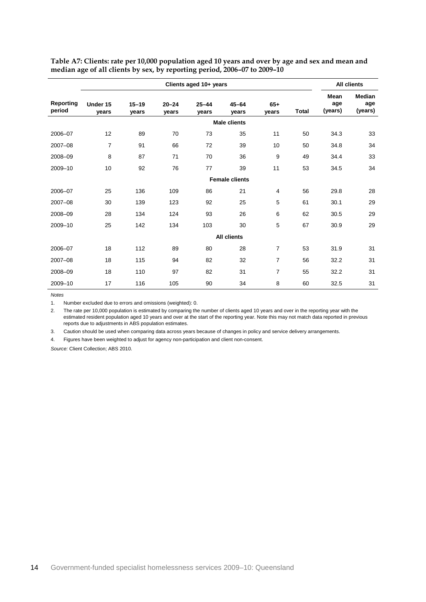|                            | Clients aged 10+ years |                    |                    |                    | <b>All clients</b>    |                |       |                        |                                 |
|----------------------------|------------------------|--------------------|--------------------|--------------------|-----------------------|----------------|-------|------------------------|---------------------------------|
| <b>Reporting</b><br>period | Under 15<br>vears      | $15 - 19$<br>vears | $20 - 24$<br>vears | $25 - 44$<br>vears | $45 - 64$<br>vears    | $65+$<br>vears | Total | Mean<br>age<br>(years) | <b>Median</b><br>age<br>(years) |
|                            |                        |                    |                    |                    | <b>Male clients</b>   |                |       |                        |                                 |
| 2006-07                    | 12                     | 89                 | 70                 | 73                 | 35                    | 11             | 50    | 34.3                   | 33                              |
| 2007-08                    | $\overline{7}$         | 91                 | 66                 | 72                 | 39                    | 10             | 50    | 34.8                   | 34                              |
| 2008-09                    | 8                      | 87                 | 71                 | 70                 | 36                    | 9              | 49    | 34.4                   | 33                              |
| 2009-10                    | 10                     | 92                 | 76                 | 77                 | 39                    | 11             | 53    | 34.5                   | 34                              |
|                            |                        |                    |                    |                    | <b>Female clients</b> |                |       |                        |                                 |
| 2006-07                    | 25                     | 136                | 109                | 86                 | 21                    | 4              | 56    | 29.8                   | 28                              |
| 2007-08                    | 30                     | 139                | 123                | 92                 | 25                    | 5              | 61    | 30.1                   | 29                              |
| 2008-09                    | 28                     | 134                | 124                | 93                 | 26                    | 6              | 62    | 30.5                   | 29                              |
| 2009-10                    | 25                     | 142                | 134                | 103                | 30                    | 5              | 67    | 30.9                   | 29                              |
|                            |                        |                    |                    |                    | <b>All clients</b>    |                |       |                        |                                 |
| 2006-07                    | 18                     | 112                | 89                 | 80                 | 28                    | 7              | 53    | 31.9                   | 31                              |
| 2007-08                    | 18                     | 115                | 94                 | 82                 | 32                    | $\overline{7}$ | 56    | 32.2                   | 31                              |
| 2008-09                    | 18                     | 110                | 97                 | 82                 | 31                    | $\overline{7}$ | 55    | 32.2                   | 31                              |
| 2009-10                    | 17                     | 116                | 105                | 90                 | 34                    | 8              | 60    | 32.5                   | 31                              |

<span id="page-17-0"></span>**Table A7: Clients: rate per 10,000 population aged 10 years and over by age and sex and mean and median age of all clients by sex, by reporting period, 2006–07 to 2009–10**

*Notes*

1. Number excluded due to errors and omissions (weighted): 0.

2. The rate per 10,000 population is estimated by comparing the number of clients aged 10 years and over in the reporting year with the estimated resident population aged 10 years and over at the start of the reporting year. Note this may not match data reported in previous reports due to adjustments in ABS population estimates.

3. Caution should be used when comparing data across years because of changes in policy and service delivery arrangements.

4. Figures have been weighted to adjust for agency non-participation and client non-consent.

*Source:* Client Collection; ABS 2010.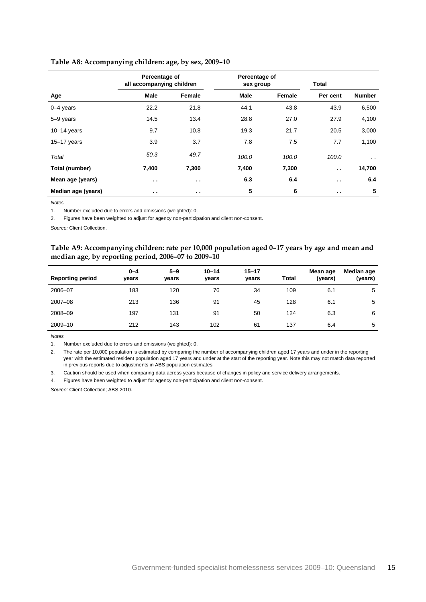|                    | Percentage of<br>all accompanying children |               | Percentage of<br>sex group |        | Total         |               |
|--------------------|--------------------------------------------|---------------|----------------------------|--------|---------------|---------------|
| Age                | <b>Male</b>                                | Female        | <b>Male</b>                | Female | Per cent      | <b>Number</b> |
| $0 - 4$ years      | 22.2                                       | 21.8          | 44.1                       | 43.8   | 43.9          | 6,500         |
| 5-9 years          | 14.5                                       | 13.4          | 28.8                       | 27.0   | 27.9          | 4,100         |
| $10-14$ years      | 9.7                                        | 10.8          | 19.3                       | 21.7   | 20.5          | 3,000         |
| $15 - 17$ years    | 3.9                                        | 3.7           | 7.8                        | 7.5    | 7.7           | 1,100         |
| Total              | 50.3                                       | 49.7          | 100.0                      | 100.0  | 100.0         | $\ddotsc$     |
| Total (number)     | 7,400                                      | 7,300         | 7,400                      | 7,300  | $\sim$ $\sim$ | 14,700        |
| Mean age (years)   | $\sim$ $\sim$                              | $\sim$ $\sim$ | 6.3                        | 6.4    | $\sim$ $\sim$ | 6.4           |
| Median age (years) | $\sim$ $\sim$                              | $\sim$ $\sim$ | 5                          | 6      | $\sim$ $\sim$ | 5             |

#### <span id="page-18-0"></span>**Table A8: Accompanying children: age, by sex, 2009–10**

*Notes*

1. Number excluded due to errors and omissions (weighted): 0.

2. Figures have been weighted to adjust for agency non-participation and client non-consent.

<span id="page-18-1"></span>*Source:* Client Collection.

#### **Table A9: Accompanying children: rate per 10,000 population aged 0–17 years by age and mean and median age, by reporting period, 2006–07 to 2009–10**

| <b>Reporting period</b> | $0 - 4$<br>years | $5 - 9$<br>vears | $10 - 14$<br>years | $15 - 17$<br>years | <b>Total</b> | Mean age<br>(years) | Median age<br>(years) |
|-------------------------|------------------|------------------|--------------------|--------------------|--------------|---------------------|-----------------------|
| 2006-07                 | 183              | 120              | 76                 | 34                 | 109          | 6.1                 | 5                     |
| $2007 - 08$             | 213              | 136              | 91                 | 45                 | 128          | 6.1                 | 5                     |
| 2008-09                 | 197              | 131              | 91                 | 50                 | 124          | 6.3                 | 6                     |
| 2009-10                 | 212              | 143              | 102                | 61                 | 137          | 6.4                 | 5                     |

*Notes*

1. Number excluded due to errors and omissions (weighted): 0.

2. The rate per 10,000 population is estimated by comparing the number of accompanying children aged 17 years and under in the reporting year with the estimated resident population aged 17 years and under at the start of the reporting year. Note this may not match data reported in previous reports due to adjustments in ABS population estimates.

3. Caution should be used when comparing data across years because of changes in policy and service delivery arrangements.

4. Figures have been weighted to adjust for agency non-participation and client non-consent.

*Source:* Client Collection; ABS 2010.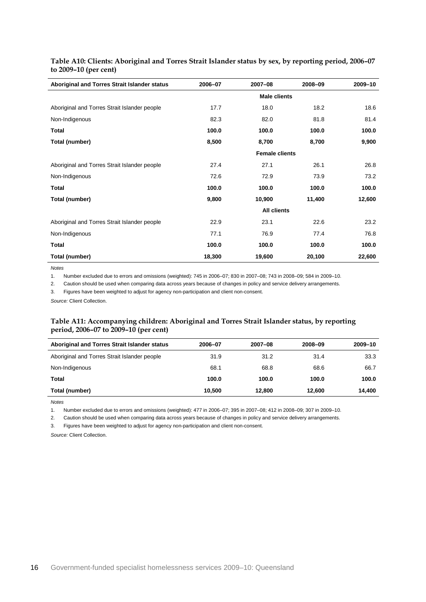| Aboriginal and Torres Strait Islander status | 2006-07 | 2007-08               | 2008-09 | 2009-10 |
|----------------------------------------------|---------|-----------------------|---------|---------|
|                                              |         |                       |         |         |
| Aboriginal and Torres Strait Islander people | 17.7    | 18.0                  | 18.2    | 18.6    |
| Non-Indigenous                               | 82.3    | 82.0                  | 81.8    | 81.4    |
| <b>Total</b>                                 | 100.0   | 100.0                 | 100.0   | 100.0   |
| Total (number)                               | 8,500   | 8,700                 | 8,700   | 9,900   |
|                                              |         | <b>Female clients</b> |         |         |
| Aboriginal and Torres Strait Islander people | 27.4    | 27.1                  | 26.1    | 26.8    |
| Non-Indigenous                               | 72.6    | 72.9                  | 73.9    | 73.2    |
| <b>Total</b>                                 | 100.0   | 100.0                 | 100.0   | 100.0   |
| Total (number)                               | 9,800   | 10,900                | 11,400  | 12,600  |
|                                              |         | <b>All clients</b>    |         |         |
| Aboriginal and Torres Strait Islander people | 22.9    | 23.1                  | 22.6    | 23.2    |
| Non-Indigenous                               | 77.1    | 76.9                  | 77.4    | 76.8    |
| Total                                        | 100.0   | 100.0                 | 100.0   | 100.0   |
| Total (number)                               | 18,300  | 19,600                | 20,100  | 22,600  |

<span id="page-19-0"></span>**Table A10: Clients: Aboriginal and Torres Strait Islander status by sex, by reporting period, 2006–07 to 2009–10 (per cent)**

*Notes*

1. Number excluded due to errors and omissions (weighted): 745 in 2006–07; 830 in 2007–08; 743 in 2008–09; 584 in 2009–10.

2. Caution should be used when comparing data across years because of changes in policy and service delivery arrangements.

3. Figures have been weighted to adjust for agency non-participation and client non-consent.

<span id="page-19-1"></span>*Source:* Client Collection.

#### **Table A11: Accompanying children: Aboriginal and Torres Strait Islander status, by reporting period, 2006–07 to 2009–10 (per cent)**

| Aboriginal and Torres Strait Islander status | 2006-07 | 2007-08 | 2008-09 | 2009-10 |
|----------------------------------------------|---------|---------|---------|---------|
| Aboriginal and Torres Strait Islander people | 31.9    | 31.2    | 31.4    | 33.3    |
| Non-Indigenous                               | 68.1    | 68.8    | 68.6    | 66.7    |
| Total                                        | 100.0   | 100.0   | 100.0   | 100.0   |
| Total (number)                               | 10.500  | 12.800  | 12.600  | 14.400  |

*Notes*

1. Number excluded due to errors and omissions (weighted): 477 in 2006–07; 395 in 2007–08; 412 in 2008–09; 307 in 2009–10.

2. Caution should be used when comparing data across years because of changes in policy and service delivery arrangements.

3. Figures have been weighted to adjust for agency non-participation and client non-consent.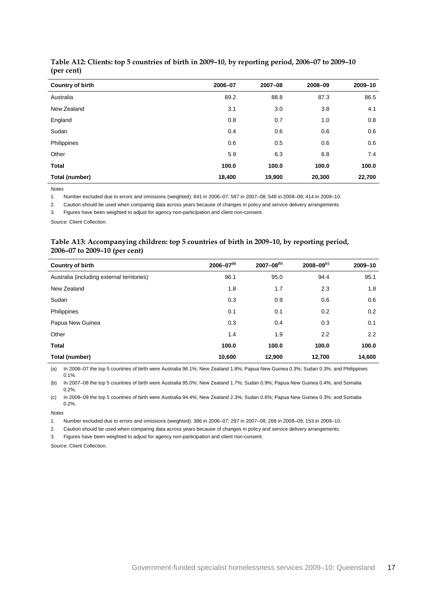| Country of birth | 2006-07 | 2007-08 | 2008-09 | 2009-10 |
|------------------|---------|---------|---------|---------|
| Australia        | 89.2    | 88.8    | 87.3    | 86.5    |
| New Zealand      | 3.1     | 3.0     | 3.8     | 4.1     |
| England          | 0.8     | 0.7     | 1.0     | 0.8     |
| Sudan            | 0.4     | 0.6     | 0.6     | 0.6     |
| Philippines      | 0.6     | 0.5     | 0.6     | 0.6     |
| Other            | 5.9     | 6.3     | 6.8     | 7.4     |
| <b>Total</b>     | 100.0   | 100.0   | 100.0   | 100.0   |
| Total (number)   | 18,400  | 19,900  | 20,300  | 22,700  |

#### <span id="page-20-0"></span>**Table A12: Clients: top 5 countries of birth in 2009–10, by reporting period, 2006–07 to 2009–10 (per cent)**

*Notes*

1. Number excluded due to errors and omissions (weighted): 641 in 2006–07; 587 in 2007–08; 548 in 2008–09; 414 in 2009–10.

2. Caution should be used when comparing data across years because of changes in policy and service delivery arrangements.

3. Figures have been weighted to adjust for agency non-participation and client non-consent.

<span id="page-20-1"></span>*Source:* Client Collection.

#### **Table A13: Accompanying children: top 5 countries of birth in 2009–10, by reporting period, 2006–07 to 2009–10 (per cent)**

| <b>Country of birth</b>                    | $2006 - 07^{(a)}$ | $2007 - 08^{(b)}$ | $2008 - 09^{(c)}$ | 2009-10 |
|--------------------------------------------|-------------------|-------------------|-------------------|---------|
| Australia (including external territories) | 96.1              | 95.0              | 94.4              | 95.1    |
| New Zealand                                | 1.8               | 1.7               | 2.3               | 1.8     |
| Sudan                                      | 0.3               | 0.9               | 0.6               | 0.6     |
| Philippines                                | 0.1               | 0.1               | 0.2               | 0.2     |
| Papua New Guinea                           | 0.3               | 0.4               | 0.3               | 0.1     |
| Other                                      | 1.4               | 1.9               | 2.2               | 2.2     |
| Total                                      | 100.0             | 100.0             | 100.0             | 100.0   |
| Total (number)                             | 10,600            | 12.900            | 12,700            | 14,600  |

(a) In 2006–07 the top 5 countries of birth were Australia 96.1%; New Zealand 1.8%; Papua New Guinea 0.3%; Sudan 0.3%; and Philippines 0.1%.

(b) In 2007–08 the top 5 countries of birth were Australia 95.0%; New Zealand 1.7%; Sudan 0.9%; Papua New Guinea 0.4%; and Somalia 0.2%.

(c) In 2008–09 the top 5 countries of birth were Australia 94.4%; New Zealand 2.3%; Sudan 0.6%; Papua New Guinea 0.3%; and Somalia 0.2%.

*Notes*

1. Number excluded due to errors and omissions (weighted): 386 in 2006–07; 297 in 2007–08; 268 in 2008–09; 153 in 2009–10.

2. Caution should be used when comparing data across years because of changes in policy and service delivery arrangements.

3. Figures have been weighted to adjust for agency non-participation and client non-consent.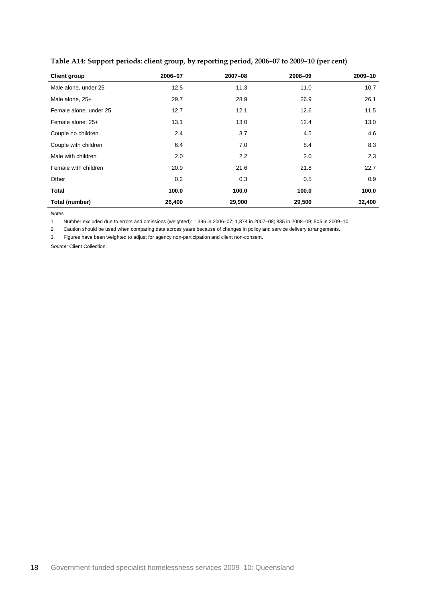| <b>Client group</b>    | 2006-07 | 2007-08 | 2008-09 | 2009-10 |
|------------------------|---------|---------|---------|---------|
| Male alone, under 25   | 12.5    | 11.3    | 11.0    | 10.7    |
| Male alone, 25+        | 29.7    | 28.9    | 26.9    | 26.1    |
| Female alone, under 25 | 12.7    | 12.1    | 12.6    | 11.5    |
| Female alone, 25+      | 13.1    | 13.0    | 12.4    | 13.0    |
| Couple no children     | 2.4     | 3.7     | 4.5     | 4.6     |
| Couple with children   | 6.4     | 7.0     | 8.4     | 8.3     |
| Male with children     | 2.0     | 2.2     | 2.0     | 2.3     |
| Female with children   | 20.9    | 21.6    | 21.8    | 22.7    |
| Other                  | 0.2     | 0.3     | 0.5     | 0.9     |
| Total                  | 100.0   | 100.0   | 100.0   | 100.0   |
| Total (number)         | 26,400  | 29,900  | 29,500  | 32,400  |

<span id="page-21-0"></span>**Table A14: Support periods: client group, by reporting period, 2006–07 to 2009–10 (per cent)**

*Notes*

1. Number excluded due to errors and omissions (weighted): 1,396 in 2006–07; 1,874 in 2007–08; 835 in 2008–09; 505 in 2009–10.

2. Caution should be used when comparing data across years because of changes in policy and service delivery arrangements.

3. Figures have been weighted to adjust for agency non-participation and client non-consent.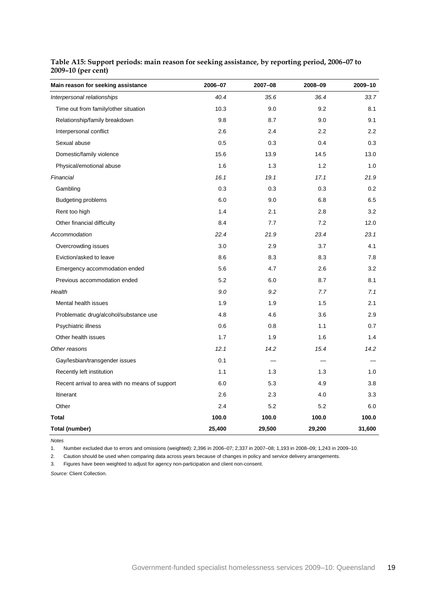| Main reason for seeking assistance              | 2006-07 | 2007-08 | 2008-09 | 2009-10 |
|-------------------------------------------------|---------|---------|---------|---------|
| Interpersonal relationships                     | 40.4    | 35.6    | 36.4    | 33.7    |
| Time out from family/other situation            | 10.3    | 9.0     | 9.2     | 8.1     |
| Relationship/family breakdown                   | 9.8     | 8.7     | 9.0     | 9.1     |
| Interpersonal conflict                          | 2.6     | 2.4     | 2.2     | 2.2     |
| Sexual abuse                                    | 0.5     | 0.3     | 0.4     | 0.3     |
| Domestic/family violence                        | 15.6    | 13.9    | 14.5    | 13.0    |
| Physical/emotional abuse                        | 1.6     | 1.3     | 1.2     | 1.0     |
| Financial                                       | 16.1    | 19.1    | 17.1    | 21.9    |
| Gambling                                        | 0.3     | 0.3     | 0.3     | 0.2     |
| <b>Budgeting problems</b>                       | 6.0     | 9.0     | 6.8     | 6.5     |
| Rent too high                                   | 1.4     | 2.1     | 2.8     | 3.2     |
| Other financial difficulty                      | 8.4     | 7.7     | 7.2     | 12.0    |
| Accommodation                                   | 22.4    | 21.9    | 23.4    | 23.1    |
| Overcrowding issues                             | 3.0     | 2.9     | 3.7     | 4.1     |
| Eviction/asked to leave                         | 8.6     | 8.3     | 8.3     | 7.8     |
| Emergency accommodation ended                   | 5.6     | 4.7     | 2.6     | 3.2     |
| Previous accommodation ended                    | 5.2     | 6.0     | 8.7     | 8.1     |
| Health                                          | 9.0     | 9.2     | 7.7     | 7.1     |
| Mental health issues                            | 1.9     | 1.9     | 1.5     | 2.1     |
| Problematic drug/alcohol/substance use          | 4.8     | 4.6     | 3.6     | 2.9     |
| Psychiatric illness                             | 0.6     | 0.8     | 1.1     | 0.7     |
| Other health issues                             | 1.7     | 1.9     | 1.6     | 1.4     |
| Other reasons                                   | 12.1    | 14.2    | 15.4    | 14.2    |
| Gay/lesbian/transgender issues                  | 0.1     |         |         |         |
| Recently left institution                       | 1.1     | 1.3     | 1.3     | 1.0     |
| Recent arrival to area with no means of support | 6.0     | 5.3     | 4.9     | 3.8     |
| Itinerant                                       | 2.6     | 2.3     | 4.0     | 3.3     |
| Other                                           | 2.4     | 5.2     | 5.2     | 6.0     |
| <b>Total</b>                                    | 100.0   | 100.0   | 100.0   | 100.0   |
| Total (number)                                  | 25,400  | 29,500  | 29,200  | 31,600  |

### <span id="page-22-0"></span>**Table A15: Support periods: main reason for seeking assistance, by reporting period, 2006–07 to 2009–10 (per cent)**

*Notes*

1. Number excluded due to errors and omissions (weighted): 2,396 in 2006–07; 2,337 in 2007–08; 1,193 in 2008–09; 1,243 in 2009–10.

2. Caution should be used when comparing data across years because of changes in policy and service delivery arrangements.

3. Figures have been weighted to adjust for agency non-participation and client non-consent.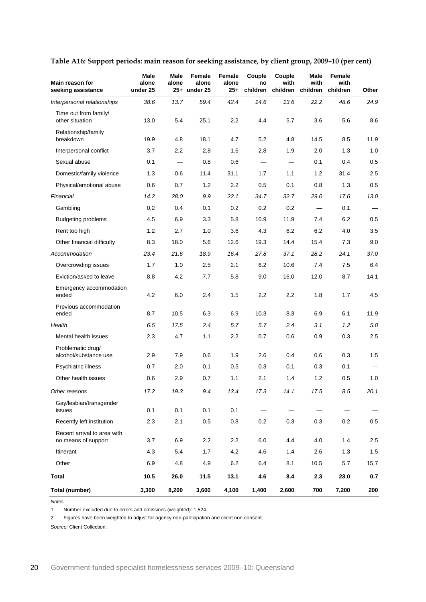| Main reason for<br>seeking assistance              | Male<br>alone<br>under 25 | Male<br>alone            | Female<br>alone<br>25+ under 25 | Female<br>alone<br>25+ | Couple<br>no<br>children | Couple<br>with<br>children | Male<br>with<br>children        | Female<br>with<br>children | Other |
|----------------------------------------------------|---------------------------|--------------------------|---------------------------------|------------------------|--------------------------|----------------------------|---------------------------------|----------------------------|-------|
| Interpersonal relationships                        | 38.6                      | 13.7                     | 59.4                            | 42.4                   | 14.6                     | 13.6                       | 22.2                            | 48.6                       | 24.9  |
| Time out from family/<br>other situation           | 13.0                      | 5.4                      | 25.1                            | 2.2                    | 4.4                      | 5.7                        | 3.6                             | 5.6                        | 8.6   |
| Relationship/family<br>breakdown                   | 19.9                      | 4.8                      | 18.1                            | 4.7                    | 5.2                      | 4.8                        | 14.5                            | 8.5                        | 11.9  |
| Interpersonal conflict                             | 3.7                       | 2.2                      | 2.8                             | 1.6                    | 2.8                      | 1.9                        | 2.0                             | 1.3                        | 1.0   |
| Sexual abuse                                       | 0.1                       | $\overline{\phantom{0}}$ | 0.8                             | 0.6                    |                          | $\equiv$                   | 0.1                             | 0.4                        | 0.5   |
| Domestic/family violence                           | 1.3                       | 0.6                      | 11.4                            | 31.1                   | 1.7                      | 1.1                        | 1.2                             | 31.4                       | 2.5   |
| Physical/emotional abuse                           | 0.6                       | 0.7                      | 1.2                             | 2.2                    | 0.5                      | 0.1                        | 0.8                             | 1.3                        | 0.5   |
| Financial                                          | 14.2                      | 28.0                     | 9.9                             | 22.1                   | 34.7                     | 32.7                       | 29.0                            | 17.6                       | 13.0  |
| Gambling                                           | 0.2                       | 0.4                      | 0.1                             | 0.2                    | 0.2                      | 0.2                        |                                 | 0.1                        |       |
| <b>Budgeting problems</b>                          | 4.5                       | 6.9                      | 3.3                             | 5.8                    | 10.9                     | 11.9                       | 7.4                             | 6.2                        | 0.5   |
| Rent too high                                      | 1.2                       | 2.7                      | 1.0                             | 3.6                    | 4.3                      | 6.2                        | 6.2                             | 4.0                        | 3.5   |
| Other financial difficulty                         | 8.3                       | 18.0                     | 5.6                             | 12.6                   | 19.3                     | 14.4                       | 15.4                            | 7.3                        | 9.0   |
| Accommodation                                      | 23.4                      | 21.6                     | 18.9                            | 16.4                   | 27.8                     | 37.1                       | 28.2                            | 24.1                       | 37.0  |
| Overcrowding issues                                | 1.7                       | 1.0                      | 2.5                             | 2.1                    | 6.2                      | 10.6                       | 7.4                             | 7.5                        | 6.4   |
| Eviction/asked to leave                            | 8.8                       | 4.2                      | 7.7                             | 5.8                    | 9.0                      | 16.0                       | 12.0                            | 8.7                        | 14.1  |
| Emergency accommodation<br>ended                   | 4.2                       | 6.0                      | 2.4                             | 1.5                    | 2.2                      | 2.2                        | 1.8                             | 1.7                        | 4.5   |
| Previous accommodation<br>ended                    | 8.7                       | 10.5                     | 6.3                             | 6.9                    | 10.3                     | 8.3                        | 6.9                             | 6.1                        | 11.9  |
| Health                                             | 6.5                       | 17.5                     | 2.4                             | 5.7                    | 5.7                      | 2.4                        | 3.1                             | 1.2                        | 5.0   |
| Mental health issues                               | 2.3                       | 4.7                      | 1.1                             | 2.2                    | 0.7                      | 0.6                        | 0.9                             | 0.3                        | 2.5   |
| Problematic drug/<br>alcohol/substance use         | 2.9                       | 7.9                      | 0.6                             | 1.9                    | 2.6                      | 0.4                        | 0.6                             | 0.3                        | 1.5   |
| Psychiatric illness                                | 0.7                       | 2.0                      | 0.1                             | 0.5                    | 0.3                      | 0.1                        | 0.3                             | 0.1                        |       |
| Other health issues                                | 0.6                       | 2.9                      | 0.7                             | 1.1                    | 2.1                      | 1.4                        | 1.2                             | 0.5                        | 1.0   |
| Other reasons                                      | 17.2                      | 19.3                     | 9.4                             | 13.4                   | 17.3                     | 14.1                       | 17.5                            | 8.5                        | 20.1  |
| Gay/lesbian/transgender<br>issues                  | 0.1                       | 0.1                      | 0.1                             | 0.1                    |                          |                            | $\hspace{0.1mm}-\hspace{0.1mm}$ |                            |       |
| Recently left institution                          | 2.3                       | 2.1                      | 0.5                             | 0.8                    | 0.2                      | 0.3                        | 0.3                             | 0.2                        | 0.5   |
| Recent arrival to area with<br>no means of support | 3.7                       | 6.9                      | 2.2                             | 2.2                    | 6.0                      | 4.4                        | 4.0                             | 1.4                        | 2.5   |
| Itinerant                                          | 4.3                       | 5.4                      | 1.7                             | 4.2                    | 4.6                      | 1.4                        | 2.6                             | 1.3                        | 1.5   |
| Other                                              | 6.9                       | 4.8                      | 4.9                             | 6.2                    | 6.4                      | 8.1                        | 10.5                            | 5.7                        | 15.7  |
| <b>Total</b>                                       | 10.5                      | 26.0                     | 11.5                            | 13.1                   | 4.6                      | 8.4                        | 2.3                             | 23.0                       | 0.7   |
| <b>Total (number)</b>                              | 3,300                     | 8,200                    | 3,600                           | 4,100                  | 1,400                    | 2,600                      | 700                             | 7,200                      | 200   |

<span id="page-23-0"></span>**Table A16: Support periods: main reason for seeking assistance, by client group, 2009–10 (per cent)**

*Notes*

1. Number excluded due to errors and omissions (weighted): 1,524.

2. Figures have been weighted to adjust for agency non-participation and client non-consent.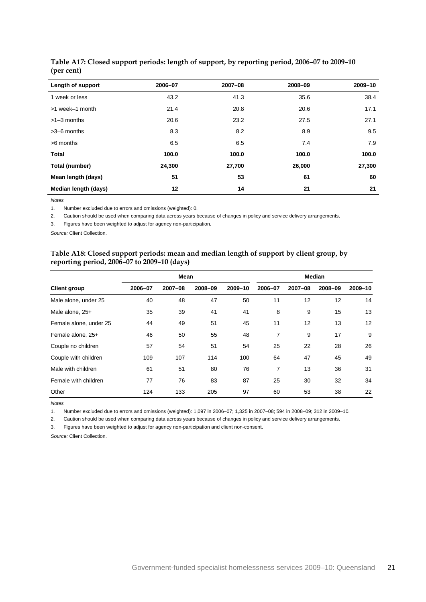| Length of support    | 2006-07 | 2007-08 | 2008-09 | 2009-10 |
|----------------------|---------|---------|---------|---------|
| 1 week or less       | 43.2    | 41.3    | 35.6    | 38.4    |
| >1 week-1 month      | 21.4    | 20.8    | 20.6    | 17.1    |
| $>1-3$ months        | 20.6    | 23.2    | 27.5    | 27.1    |
| $>3-6$ months        | 8.3     | 8.2     | 8.9     | 9.5     |
| >6 months            | 6.5     | 6.5     | 7.4     | 7.9     |
| <b>Total</b>         | 100.0   | 100.0   | 100.0   | 100.0   |
| Total (number)       | 24,300  | 27,700  | 26,000  | 27,300  |
| Mean length (days)   | 51      | 53      | 61      | 60      |
| Median length (days) | 12      | 14      | 21      | 21      |

#### <span id="page-24-0"></span>**Table A17: Closed support periods: length of support, by reporting period, 2006–07 to 2009–10 (per cent)**

*Notes*

1. Number excluded due to errors and omissions (weighted): 0.

2. Caution should be used when comparing data across years because of changes in policy and service delivery arrangements.

3. Figures have been weighted to adjust for agency non-participation.

<span id="page-24-1"></span>*Source:* Client Collection.

#### **Table A18: Closed support periods: mean and median length of support by client group, by reporting period, 2006–07 to 2009–10 (days)**

|                        |         | <b>Mean</b> |         | <b>Median</b> |         |         |         |         |
|------------------------|---------|-------------|---------|---------------|---------|---------|---------|---------|
| <b>Client group</b>    | 2006-07 | 2007-08     | 2008-09 | 2009-10       | 2006-07 | 2007-08 | 2008-09 | 2009-10 |
| Male alone, under 25   | 40      | 48          | 47      | 50            | 11      | 12      | 12      | 14      |
| Male alone, 25+        | 35      | 39          | 41      | 41            | 8       | 9       | 15      | 13      |
| Female alone, under 25 | 44      | 49          | 51      | 45            | 11      | 12      | 13      | 12      |
| Female alone, 25+      | 46      | 50          | 55      | 48            | 7       | 9       | 17      | 9       |
| Couple no children     | 57      | 54          | 51      | 54            | 25      | 22      | 28      | 26      |
| Couple with children   | 109     | 107         | 114     | 100           | 64      | 47      | 45      | 49      |
| Male with children     | 61      | 51          | 80      | 76            | 7       | 13      | 36      | 31      |
| Female with children   | 77      | 76          | 83      | 87            | 25      | 30      | 32      | 34      |
| Other                  | 124     | 133         | 205     | 97            | 60      | 53      | 38      | 22      |

*Notes*

1. Number excluded due to errors and omissions (weighted): 1,097 in 2006–07; 1,325 in 2007–08; 594 in 2008–09; 312 in 2009–10.

2. Caution should be used when comparing data across years because of changes in policy and service delivery arrangements.

3. Figures have been weighted to adjust for agency non-participation and client non-consent.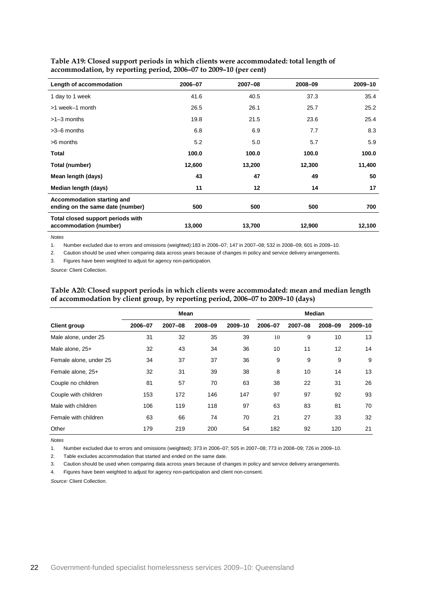| Length of accommodation                                        | 2006-07 | 2007-08 | 2008-09 | 2009-10 |
|----------------------------------------------------------------|---------|---------|---------|---------|
| 1 day to 1 week                                                | 41.6    | 40.5    | 37.3    | 35.4    |
| >1 week-1 month                                                | 26.5    | 26.1    | 25.7    | 25.2    |
| $>1-3$ months                                                  | 19.8    | 21.5    | 23.6    | 25.4    |
| $>3-6$ months                                                  | 6.8     | 6.9     | 7.7     | 8.3     |
| >6 months                                                      | 5.2     | 5.0     | 5.7     | 5.9     |
| Total                                                          | 100.0   | 100.0   | 100.0   | 100.0   |
| Total (number)                                                 | 12,600  | 13,200  | 12,300  | 11,400  |
| Mean length (days)                                             | 43      | 47      | 49      | 50      |
| Median length (days)                                           | 11      | 12      | 14      | 17      |
| Accommodation starting and<br>ending on the same date (number) | 500     | 500     | 500     | 700     |
| Total closed support periods with<br>accommodation (number)    | 13,000  | 13,700  | 12,900  | 12,100  |

<span id="page-25-0"></span>**Table A19: Closed support periods in which clients were accommodated: total length of accommodation, by reporting period, 2006–07 to 2009–10 (per cent)**

*Notes*

1. Number excluded due to errors and omissions (weighted):183 in 2006–07; 147 in 2007–08; 532 in 2008–09; 601 in 2009–10.

2. Caution should be used when comparing data across years because of changes in policy and service delivery arrangements.

3. Figures have been weighted to adjust for agency non-participation.

<span id="page-25-1"></span>*Source:* Client Collection.

|                        |         | <b>Mean</b> |         | <b>Median</b> |         |         |         |         |
|------------------------|---------|-------------|---------|---------------|---------|---------|---------|---------|
| <b>Client group</b>    | 2006-07 | 2007-08     | 2008-09 | 2009-10       | 2006-07 | 2007-08 | 2008-09 | 2009-10 |
| Male alone, under 25   | 31      | 32          | 35      | 39            | 10      | 9       | 10      | 13      |
| Male alone, 25+        | 32      | 43          | 34      | 36            | 10      | 11      | 12      | 14      |
| Female alone, under 25 | 34      | 37          | 37      | 36            | 9       | 9       | 9       | 9       |
| Female alone, 25+      | 32      | 31          | 39      | 38            | 8       | 10      | 14      | 13      |
| Couple no children     | 81      | 57          | 70      | 63            | 38      | 22      | 31      | 26      |
| Couple with children   | 153     | 172         | 146     | 147           | 97      | 97      | 92      | 93      |
| Male with children     | 106     | 119         | 118     | 97            | 63      | 83      | 81      | 70      |
| Female with children   | 63      | 66          | 74      | 70            | 21      | 27      | 33      | 32      |
| Other                  | 179     | 219         | 200     | 54            | 182     | 92      | 120     | 21      |

#### **Table A20: Closed support periods in which clients were accommodated: mean and median length of accommodation by client group, by reporting period, 2006–07 to 2009–10 (days)**

*Notes*

1. Number excluded due to errors and omissions (weighted): 373 in 2006–07; 505 in 2007–08; 773 in 2008–09; 726 in 2009–10.

2. Table excludes accommodation that started and ended on the same date.

3. Caution should be used when comparing data across years because of changes in policy and service delivery arrangements.

4. Figures have been weighted to adjust for agency non-participation and client non-consent.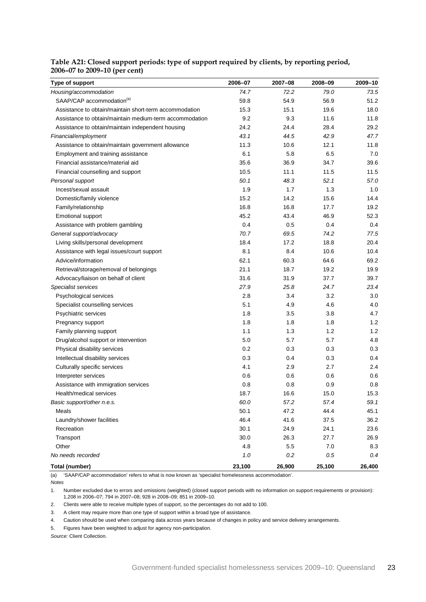<span id="page-26-0"></span>

| Table A21: Closed support periods: type of support required by clients, by reporting period, |  |
|----------------------------------------------------------------------------------------------|--|
| 2006-07 to 2009-10 (per cent)                                                                |  |

| Type of support                                         | 2006-07 | 2007-08 | 2008-09 | 2009-10 |
|---------------------------------------------------------|---------|---------|---------|---------|
| Housing/accommodation                                   | 74.7    | 72.2    | 79.0    | 73.5    |
| SAAP/CAP accommodation <sup>(a)</sup>                   | 59.8    | 54.9    | 56.9    | 51.2    |
| Assistance to obtain/maintain short-term accommodation  | 15.3    | 15.1    | 19.6    | 18.0    |
| Assistance to obtain/maintain medium-term accommodation | 9.2     | 9.3     | 11.6    | 11.8    |
| Assistance to obtain/maintain independent housing       | 24.2    | 24.4    | 28.4    | 29.2    |
| Financial/employment                                    | 43.1    | 44.5    | 42.9    | 47.7    |
| Assistance to obtain/maintain government allowance      | 11.3    | 10.6    | 12.1    | 11.8    |
| Employment and training assistance                      | 6.1     | 5.8     | 6.5     | 7.0     |
| Financial assistance/material aid                       | 35.6    | 36.9    | 34.7    | 39.6    |
| Financial counselling and support                       | 10.5    | 11.1    | 11.5    | 11.5    |
| Personal support                                        | 50.1    | 48.3    | 52.1    | 57.0    |
| Incest/sexual assault                                   | 1.9     | 1.7     | 1.3     | 1.0     |
| Domestic/family violence                                | 15.2    | 14.2    | 15.6    | 14.4    |
| Family/relationship                                     | 16.8    | 16.8    | 17.7    | 19.2    |
| Emotional support                                       | 45.2    | 43.4    | 46.9    | 52.3    |
| Assistance with problem gambling                        | 0.4     | 0.5     | 0.4     | 0.4     |
| General support/advocacy                                | 70.7    | 69.5    | 74.2    | 77.5    |
| Living skills/personal development                      | 18.4    | 17.2    | 18.8    | 20.4    |
| Assistance with legal issues/court support              | 8.1     | 8.4     | 10.6    | 10.4    |
| Advice/information                                      | 62.1    | 60.3    | 64.6    | 69.2    |
| Retrieval/storage/removal of belongings                 | 21.1    | 18.7    | 19.2    | 19.9    |
| Advocacy/liaison on behalf of client                    | 31.6    | 31.9    | 37.7    | 39.7    |
| Specialist services                                     | 27.9    | 25.8    | 24.7    | 23.4    |
| Psychological services                                  | 2.8     | 3.4     | 3.2     | 3.0     |
| Specialist counselling services                         | 5.1     | 4.9     | 4.6     | 4.0     |
| Psychiatric services                                    | 1.8     | 3.5     | 3.8     | 4.7     |
| Pregnancy support                                       | 1.8     | 1.8     | 1.8     | 1.2     |
| Family planning support                                 | 1.1     | 1.3     | 1.2     | 1.2     |
| Drug/alcohol support or intervention                    | 5.0     | 5.7     | 5.7     | 4.8     |
| Physical disability services                            | 0.2     | 0.3     | 0.3     | 0.3     |
| Intellectual disability services                        | 0.3     | 0.4     | 0.3     | 0.4     |
| Culturally specific services                            | 4.1     | 2.9     | 2.7     | 2.4     |
| Interpreter services                                    | 0.6     | 0.6     | 0.6     | 0.6     |
| Assistance with immigration services                    | 0.8     | 0.8     | 0.9     | 0.8     |
| Health/medical services                                 | 18.7    | 16.6    | 15.0    | 15.3    |
| Basic support/other n.e.s.                              | 60.0    | 57.2    | 57.4    | 59.1    |
| Meals                                                   | 50.1    | 47.2    | 44.4    | 45.1    |
| Laundry/shower facilities                               | 46.4    | 41.6    | 37.5    | 36.2    |
| Recreation                                              | 30.1    | 24.9    | 24.1    | 23.6    |
| Transport                                               | 30.0    | 26.3    | 27.7    | 26.9    |
| Other                                                   | 4.8     | 5.5     | 7.0     | 8.3     |
| No needs recorded                                       | $1.0$   | 0.2     | 0.5     | 0.4     |
| Total (number)                                          | 23,100  | 26,900  | 25,100  | 26,400  |

(a) 'SAAP/CAP accommodation' refers to what is now known as 'specialist homelessness accommodation'.

*Notes*

1. Number excluded due to errors and omissions (weighted) (closed support periods with no information on support requirements or provision): 1,208 in 2006–07; 794 in 2007–08; 928 in 2008–09; 851 in 2009–10.

2. Clients were able to receive multiple types of support, so the percentages do not add to 100.

3. A client may require more than one type of support within a broad type of assistance.

4. Caution should be used when comparing data across years because of changes in policy and service delivery arrangements.

5. Figures have been weighted to adjust for agency non-participation.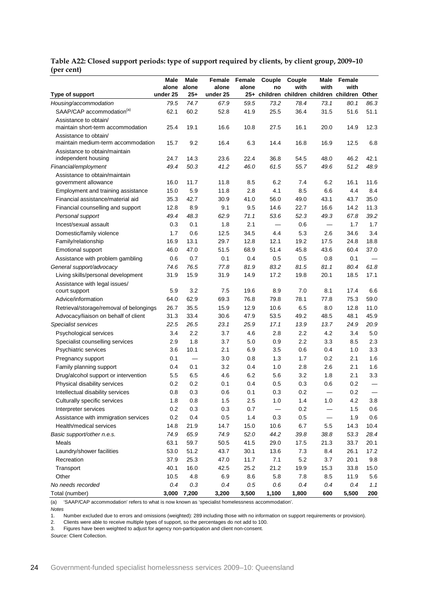|                                         | Male     | Male  | Female   | Female | Couple | Couple | Male                     | Female                                        |      |
|-----------------------------------------|----------|-------|----------|--------|--------|--------|--------------------------|-----------------------------------------------|------|
|                                         | alone    | alone | alone    | alone  | no     | with   | with                     | with                                          |      |
| Type of support                         | under 25 | 25+   | under 25 |        |        |        |                          | 25+ children children children children Other |      |
| Housing/accommodation                   | 79.5     | 74.7  | 67.9     | 59.5   | 73.2   | 78.4   | 73.1                     | 80.1                                          | 86.3 |
| SAAP/CAP accommodation <sup>(a)</sup>   | 62.1     | 60.2  | 52.8     | 41.9   | 25.5   | 36.4   | 31.5                     | 51.6                                          | 51.1 |
| Assistance to obtain/                   |          |       |          |        |        |        |                          |                                               |      |
| maintain short-term accommodation       | 25.4     | 19.1  | 16.6     | 10.8   | 27.5   | 16.1   | 20.0                     | 14.9                                          | 12.3 |
| Assistance to obtain/                   |          |       |          |        |        |        |                          |                                               |      |
| maintain medium-term accommodation      | 15.7     | 9.2   | 16.4     | 6.3    | 14.4   | 16.8   | 16.9                     | 12.5                                          | 6.8  |
| Assistance to obtain/maintain           |          |       |          |        |        |        |                          |                                               |      |
| independent housing                     | 24.7     | 14.3  | 23.6     | 22.4   | 36.8   | 54.5   | 48.0                     | 46.2                                          | 42.1 |
| Financial/employment                    | 49.4     | 50.3  | 41.2     | 46.0   | 61.5   | 55.7   | 49.6                     | 51.2                                          | 48.9 |
| Assistance to obtain/maintain           |          |       |          |        |        |        |                          |                                               |      |
| government allowance                    | 16.0     | 11.7  | 11.8     | 8.5    | 6.2    | 7.4    | 6.2                      | 16.1                                          | 11.6 |
| Employment and training assistance      | 15.0     | 5.9   | 11.8     | 2.8    | 4.1    | 8.5    | 6.6                      | 4.4                                           | 8.4  |
| Financial assistance/material aid       | 35.3     | 42.7  | 30.9     | 41.0   | 56.0   | 49.0   | 43.1                     | 43.7                                          | 35.0 |
| Financial counselling and support       | 12.8     | 8.9   | 9.1      | 9.5    | 14.6   | 22.7   | 16.6                     | 14.2                                          | 11.3 |
| Personal support                        | 49.4     | 48.3  | 62.9     | 71.1   | 53.6   | 52.3   | 49.3                     | 67.8                                          | 39.2 |
| Incest/sexual assault                   | 0.3      | 0.1   | 1.8      | 2.1    |        | 0.6    | —                        | 1.7                                           | 1.7  |
| Domestic/family violence                | 1.7      | 0.6   | 12.5     | 34.5   | 4.4    | 5.3    | 2.6                      | 34.6                                          | 3.4  |
| Family/relationship                     | 16.9     | 13.1  | 29.7     | 12.8   | 12.1   | 19.2   | 17.5                     | 24.8                                          | 18.8 |
| Emotional support                       | 46.0     | 47.0  | 51.5     | 68.9   | 51.4   | 45.8   | 43.6                     | 60.4                                          | 37.0 |
| Assistance with problem gambling        | 0.6      | 0.7   | 0.1      | 0.4    | 0.5    | 0.5    | 0.8                      | 0.1                                           |      |
| General support/advocacy                | 74.6     | 76.5  | 77.8     | 81.9   | 83.2   | 81.5   | 81.1                     | 80.4                                          | 61.8 |
| Living skills/personal development      | 31.9     | 15.9  | 31.9     | 14.9   | 17.2   | 19.8   | 20.1                     | 18.5                                          | 17.1 |
| Assistance with legal issues/           |          |       |          |        |        |        |                          |                                               |      |
| court support                           | 5.9      | 3.2   | 7.5      | 19.6   | 8.9    | 7.0    | 8.1                      | 17.4                                          | 6.6  |
| Advice/information                      | 64.0     | 62.9  | 69.3     | 76.8   | 79.8   | 78.1   | 77.8                     | 75.3                                          | 59.0 |
| Retrieval/storage/removal of belongings | 26.7     | 35.5  | 15.9     | 12.9   | 10.6   | 6.5    | 8.0                      | 12.8                                          | 11.0 |
| Advocacy/liaison on behalf of client    | 31.3     | 33.4  | 30.6     | 47.9   | 53.5   | 49.2   | 48.5                     | 48.1                                          | 45.9 |
| Specialist services                     | 22.5     | 26.5  | 23.1     | 25.9   | 17.1   | 13.9   | 13.7                     | 24.9                                          | 20.9 |
| Psychological services                  | 3.4      | 2.2   | 3.7      | 4.6    | 2.8    | 2.2    | 4.2                      | 3.4                                           | 5.0  |
| Specialist counselling services         | 2.9      | 1.8   | 3.7      | 5.0    | 0.9    | 2.2    | 3.3                      | 8.5                                           | 2.3  |
| Psychiatric services                    | 3.6      | 10.1  | 2.1      | 6.9    | 3.5    | 0.6    | 0.4                      | 1.0                                           | 3.3  |
| Pregnancy support                       | 0.1      |       | 3.0      | 0.8    | 1.3    | 1.7    | 0.2                      | 2.1                                           | 1.6  |
| Family planning support                 | 0.4      | 0.1   | 3.2      | 0.4    | 1.0    | 2.8    | 2.6                      | 2.1                                           | 1.6  |
| Drug/alcohol support or intervention    | 5.5      | 6.5   | 4.6      | 6.2    | 5.6    | 3.2    | 1.8                      | 2.1                                           | 3.3  |
| Physical disability services            | 0.2      | 0.2   | 0.1      | 0.4    | 0.5    | 0.3    | 0.6                      | 0.2                                           |      |
| Intellectual disability services        | 0.8      | 0.3   | 0.6      | 0.1    | 0.3    | 0.2    | $\overline{\phantom{0}}$ | 0.2                                           |      |
| Culturally specific services            | 1.8      | 0.8   | 1.5      | 2.5    | $1.0$  | $1.4$  | 1.0                      | 4.2                                           | 3.8  |
| Interpreter services                    | 0.2      | 0.3   | 0.3      | 0.7    |        | 0.2    |                          | 1.5                                           | 0.6  |
| Assistance with immigration services    | 0.2      | 0.4   | $0.5\,$  | 1.4    | 0.3    | 0.5    | $\overline{\phantom{0}}$ | 1.9                                           | 0.6  |
| Health/medical services                 | 14.8     | 21.9  | 14.7     | 15.0   | 10.6   | 6.7    | 5.5                      | 14.3                                          | 10.4 |
| Basic support/other n.e.s.              | 74.9     | 65.9  | 74.9     | 52.0   | 44.2   | 39.8   | 38.8                     | 53.3                                          | 28.4 |
| Meals                                   | 63.1     | 59.7  | 50.5     | 41.5   | 29.0   | 17.5   | 21.3                     | 33.7                                          | 20.1 |
| Laundry/shower facilities               | 53.0     | 51.2  | 43.7     | 30.1   | 13.6   | $7.3$  | 8.4                      | 26.1                                          | 17.2 |

<span id="page-27-0"></span>**Table A22: Closed support periods: type of support required by clients, by client group, 2009–10 (per cent)**

(a) 'SAAP/CAP accommodation' refers to what is now known as 'specialist homelessness accommodation'.

*Notes*

1. Number excluded due to errors and omissions (weighted): 289 including those with no information on support requirements or provision).

Recreation 37.9 25.3 47.0 11.7 7.1 5.2 3.7 20.1 9.8 Transport 40.1 16.0 42.5 25.2 21.2 19.9 15.3 33.8 15.0 Other 10.5 4.8 6.9 8.6 5.8 7.8 8.5 11.9 5.6 *No needs recorded 0.4 0.3 0.4 0.5 0.6 0.4 0.4 0.4 1.1* Total (number) **3,000 7,200 3,200 3,500 1,100 1,800 600 5,500 200**

2. Clients were able to receive multiple types of support, so the percentages do not add to 100.<br>3. Figures have been weighted to adjust for agency non-participation and client non-consent

3. Figures have been weighted to adjust for agency non-participation and client non-consent.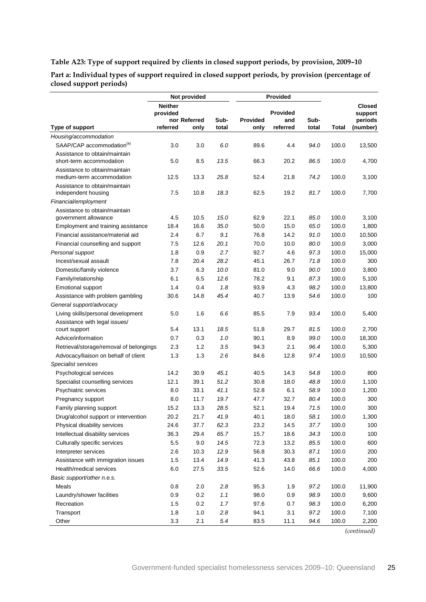### <span id="page-28-0"></span>**Table A23: Type of support required by clients in closed support periods, by provision, 2009–10**

**Part a: Individual types of support required in closed support periods, by provision (percentage of closed support periods)**

|                                                            |                            | Not provided         |               |                         | Provided        |               |       |                          |
|------------------------------------------------------------|----------------------------|----------------------|---------------|-------------------------|-----------------|---------------|-------|--------------------------|
|                                                            | <b>Neither</b><br>provided |                      |               |                         | <b>Provided</b> |               |       | <b>Closed</b><br>support |
| Type of support                                            | referred                   | nor Referred<br>only | Sub-<br>total | <b>Provided</b><br>only | and<br>referred | Sub-<br>total | Total | periods<br>(number)      |
| Housing/accommodation                                      |                            |                      |               |                         |                 |               |       |                          |
| SAAP/CAP accommodation <sup>(a)</sup>                      | 3.0                        | 3.0                  | 6.0           | 89.6                    | 4.4             | 94.0          | 100.0 | 13,500                   |
| Assistance to obtain/maintain                              |                            |                      |               |                         |                 |               |       |                          |
| short-term accommodation                                   | 5.0                        | 8.5                  | 13.5          | 66.3                    | 20.2            | 86.5          | 100.0 | 4,700                    |
| Assistance to obtain/maintain<br>medium-term accommodation | 12.5                       | 13.3                 | 25.8          | 52.4                    | 21.8            | 74.2          | 100.0 | 3,100                    |
| Assistance to obtain/maintain                              |                            |                      |               |                         |                 |               |       |                          |
| independent housing                                        | 7.5                        | 10.8                 | 18.3          | 62.5                    | 19.2            | 81.7          | 100.0 | 7,700                    |
| Financial/employment                                       |                            |                      |               |                         |                 |               |       |                          |
| Assistance to obtain/maintain<br>government allowance      | 4.5                        | 10.5                 | 15.0          | 62.9                    | 22.1            | 85.0          | 100.0 | 3,100                    |
| Employment and training assistance                         | 18.4                       | 16.6                 | 35.0          | 50.0                    | 15.0            | 65.0          | 100.0 | 1,800                    |
| Financial assistance/material aid                          | 2.4                        | 6.7                  | 9.1           | 76.8                    | 14.2            | 91.0          | 100.0 | 10,500                   |
| Financial counselling and support                          | 7.5                        | 12.6                 | 20.1          | 70.0                    | 10.0            | 80.0          | 100.0 | 3,000                    |
| Personal support                                           | 1.8                        | 0.9                  | 2.7           | 92.7                    | 4.6             | 97.3          | 100.0 | 15,000                   |
| Incest/sexual assault                                      | 7.8                        | 20.4                 | 28.2          | 45.1                    | 26.7            | 71.8          | 100.0 | 300                      |
| Domestic/family violence                                   | 3.7                        | 6.3                  | 10.0          | 81.0                    | 9.0             | 90.0          | 100.0 | 3,800                    |
| Family/relationship                                        | 6.1                        | 6.5                  | 12.6          | 78.2                    | 9.1             | 87.3          | 100.0 | 5,100                    |
| Emotional support                                          | 1.4                        | 0.4                  | 1.8           | 93.9                    | 4.3             | 98.2          | 100.0 | 13,800                   |
| Assistance with problem gambling                           | 30.6                       | 14.8                 | 45.4          | 40.7                    | 13.9            | 54.6          | 100.0 | 100                      |
| General support/advocacy                                   |                            |                      |               |                         |                 |               |       |                          |
| Living skills/personal development                         | 5.0                        | 1.6                  | 6.6           | 85.5                    | 7.9             | 93.4          | 100.0 | 5,400                    |
| Assistance with legal issues/                              |                            |                      |               |                         |                 |               |       |                          |
| court support                                              | 5.4                        | 13.1                 | 18.5          | 51.8                    | 29.7            | 81.5          | 100.0 | 2,700                    |
| Advice/information                                         | 0.7                        | 0.3                  | 1.0           | 90.1                    | 8.9             | 99.0          | 100.0 | 18,300                   |
| Retrieval/storage/removal of belongings                    | 2.3                        | 1.2                  | 3.5           | 94.3                    | 2.1             | 96.4          | 100.0 | 5,300                    |
| Advocacy/liaison on behalf of client                       | 1.3                        | 1.3                  | 2.6           | 84.6                    | 12.8            | 97.4          | 100.0 | 10,500                   |
| Specialist services                                        |                            |                      |               |                         |                 |               |       |                          |
| Psychological services                                     | 14.2                       | 30.9                 | 45.1          | 40.5                    | 14.3            | 54.8          | 100.0 | 800                      |
| Specialist counselling services                            | 12.1                       | 39.1                 | 51.2          | 30.8                    | 18.0            | 48.8          | 100.0 | 1,100                    |
| Psychiatric services                                       | 8.0                        | 33.1                 | 41.1          | 52.8                    | 6.1             | 58.9          | 100.0 | 1,200                    |
| Pregnancy support                                          | 8.0                        | 11.7                 | 19.7          | 47.7                    | 32.7            | 80.4          | 100.0 | 300                      |
| Family planning support                                    | 15.2                       | 13.3                 | 28.5          | 52.1                    | 19.4            | 71.5          | 100.0 | 300                      |
| Drug/alcohol support or intervention                       | 20.2                       | 21.7                 | 41.9          | 40.1                    | 18.0            | 58.1          | 100.0 | 1,300                    |
| Physical disability services                               | 24.6                       | 37.7                 | 62.3          | 23.2                    | 14.5            | 37.7          | 100.0 | 100                      |
| Intellectual disability services                           | 36.3                       | 29.4                 | 65.7          | 15.7                    | 18.6            | 34.3          | 100.0 | 100                      |
| Culturally specific services                               | 5.5                        | 9.0                  | 14.5          | 72.3                    | 13.2            | 85.5          | 100.0 | 600                      |
| Interpreter services                                       | 2.6                        | 10.3                 | 12.9          | 56.8                    | 30.3            | 87.1          | 100.0 | 200                      |
| Assistance with immigration issues                         | 1.5                        | 13.4                 | 14.9          | 41.3                    | 43.8            | 85.1          | 100.0 | 200                      |
| Health/medical services                                    | $6.0\,$                    | 27.5                 | 33.5          | 52.6                    | 14.0            | 66.6          | 100.0 | 4,000                    |
| Basic support/other n.e.s.                                 |                            |                      |               |                         |                 |               |       |                          |
| Meals                                                      | 0.8                        | 2.0                  | 2.8           | 95.3                    | 1.9             | 97.2          | 100.0 | 11,900                   |
| Laundry/shower facilities                                  | 0.9                        | 0.2                  | 1.1           | 98.0                    | 0.9             | 98.9          | 100.0 | 9,600                    |
| Recreation                                                 | 1.5                        | 0.2                  | 1.7           | 97.6                    | 0.7             | 98.3          | 100.0 | 6,200                    |
| Transport                                                  | 1.8                        | $1.0$                | $2.8\,$       | 94.1                    | 3.1             | 97.2          | 100.0 | 7,100                    |
| Other                                                      | 3.3                        | 2.1                  | 5.4           | 83.5                    | 11.1            | 94.6          | 100.0 | 2,200                    |

*(continued)*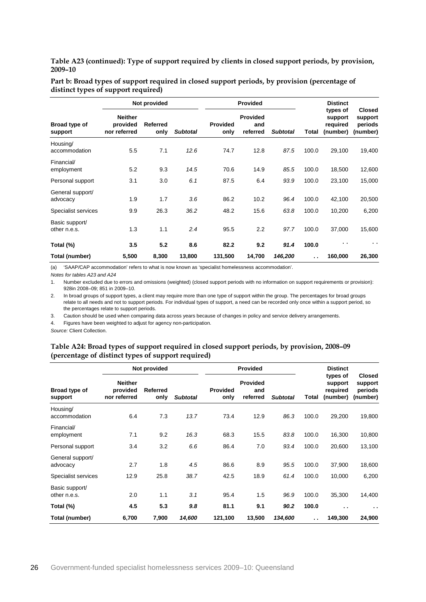**Table A23 (continued): Type of support required by clients in closed support periods, by provision, 2009–10**

|                                | Not provided                               |                  |                 | <b>Provided</b>         |                                    |                 |       | <b>Distinct</b>                             |                                                 |
|--------------------------------|--------------------------------------------|------------------|-----------------|-------------------------|------------------------------------|-----------------|-------|---------------------------------------------|-------------------------------------------------|
| Broad type of<br>support       | <b>Neither</b><br>provided<br>nor referred | Referred<br>only | <b>Subtotal</b> | <b>Provided</b><br>only | <b>Provided</b><br>and<br>referred | <b>Subtotal</b> | Total | types of<br>support<br>required<br>(number) | <b>Closed</b><br>support<br>periods<br>(number) |
| Housing/<br>accommodation      | 5.5                                        | 7.1              | 12.6            | 74.7                    | 12.8                               | 87.5            | 100.0 | 29,100                                      | 19,400                                          |
| Financial/<br>employment       | 5.2                                        | 9.3              | 14.5            | 70.6                    | 14.9                               | 85.5            | 100.0 | 18,500                                      | 12,600                                          |
| Personal support               | 3.1                                        | 3.0              | 6.1             | 87.5                    | 6.4                                | 93.9            | 100.0 | 23,100                                      | 15,000                                          |
| General support/<br>advocacy   | 1.9                                        | 1.7              | 3.6             | 86.2                    | 10.2                               | 96.4            | 100.0 | 42,100                                      | 20,500                                          |
| Specialist services            | 9.9                                        | 26.3             | 36.2            | 48.2                    | 15.6                               | 63.8            | 100.0 | 10,200                                      | 6,200                                           |
| Basic support/<br>other n.e.s. | 1.3                                        | 1.1              | 2.4             | 95.5                    | 2.2                                | 97.7            | 100.0 | 37,000                                      | 15,600                                          |
| Total (%)                      | 3.5                                        | 5.2              | 8.6             | 82.2                    | 9.2                                | 91.4            | 100.0 | . .                                         | . .                                             |
| Total (number)                 | 5,500                                      | 8,300            | 13,800          | 131,500                 | 14,700                             | 146,200         | . .   | 160,000                                     | 26,300                                          |

**Part b: Broad types of support required in closed support periods, by provision (percentage of distinct types of support required)**

(a) 'SAAP/CAP accommodation' refers to what is now known as 'specialist homelessness accommodation'.

*Notes for tables A23 and A24*

1. Number excluded due to errors and omissions (weighted) (closed support periods with no information on support requirements or provision): 928in 2008–09; 851 in 2009–10.

2. In broad groups of support types, a client may require more than one type of support within the group. The percentages for broad groups relate to all needs and not to support periods. For individual types of support, a need can be recorded only once within a support period, so the percentages relate to support periods.

3. Caution should be used when comparing data across years because of changes in policy and service delivery arrangements.

4. Figures have been weighted to adjust for agency non-participation.

<span id="page-29-0"></span>*Source:* Client Collection.

#### **Table A24: Broad types of support required in closed support periods, by provision, 2008–09 (percentage of distinct types of support required)**

|                                | Not provided                               |                  |                 |                         | <b>Provided</b>                    |                 |       | <b>Distinct</b>                             |                                                 |
|--------------------------------|--------------------------------------------|------------------|-----------------|-------------------------|------------------------------------|-----------------|-------|---------------------------------------------|-------------------------------------------------|
| Broad type of<br>support       | <b>Neither</b><br>provided<br>nor referred | Referred<br>only | <b>Subtotal</b> | <b>Provided</b><br>only | <b>Provided</b><br>and<br>referred | <b>Subtotal</b> | Total | types of<br>support<br>required<br>(number) | <b>Closed</b><br>support<br>periods<br>(number) |
| Housing/<br>accommodation      | 6.4                                        | 7.3              | 13.7            | 73.4                    | 12.9                               | 86.3            | 100.0 | 29,200                                      | 19,800                                          |
| Financial/<br>employment       | 7.1                                        | 9.2              | 16.3            | 68.3                    | 15.5                               | 83.8            | 100.0 | 16,300                                      | 10,800                                          |
| Personal support               | 3.4                                        | 3.2              | 6.6             | 86.4                    | 7.0                                | 93.4            | 100.0 | 20,600                                      | 13,100                                          |
| General support/<br>advocacy   | 2.7                                        | 1.8              | 4.5             | 86.6                    | 8.9                                | 95.5            | 100.0 | 37,900                                      | 18,600                                          |
| Specialist services            | 12.9                                       | 25.8             | 38.7            | 42.5                    | 18.9                               | 61.4            | 100.0 | 10,000                                      | 6,200                                           |
| Basic support/<br>other n.e.s. | 2.0                                        | 1.1              | 3.1             | 95.4                    | 1.5                                | 96.9            | 100.0 | 35,300                                      | 14,400                                          |
| Total (%)                      | 4.5                                        | 5.3              | 9.8             | 81.1                    | 9.1                                | 90.2            | 100.0 | . .                                         | . .                                             |
| Total (number)                 | 6,700                                      | 7,900            | 14,600          | 121,100                 | 13,500                             | 134,600         | . .   | 149,300                                     | 24,900                                          |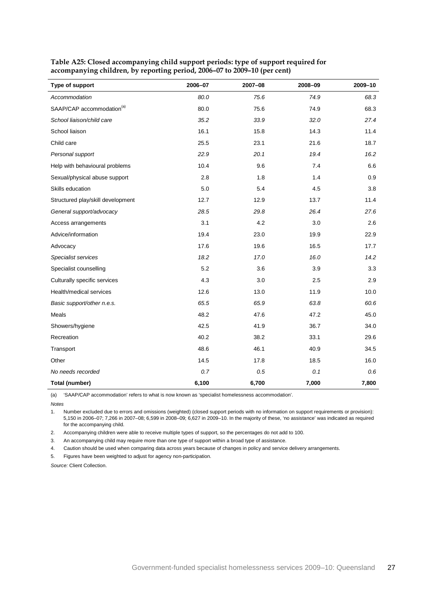| Type of support                       | 2006-07 | 2007-08 | 2008-09 | 2009-10 |
|---------------------------------------|---------|---------|---------|---------|
| Accommodation                         | 80.0    | 75.6    | 74.9    | 68.3    |
| SAAP/CAP accommodation <sup>(a)</sup> | 80.0    | 75.6    | 74.9    | 68.3    |
| School liaison/child care             | 35.2    | 33.9    | 32.0    | 27.4    |
| School liaison                        | 16.1    | 15.8    | 14.3    | 11.4    |
| Child care                            | 25.5    | 23.1    | 21.6    | 18.7    |
| Personal support                      | 22.9    | 20.1    | 19.4    | 16.2    |
| Help with behavioural problems        | 10.4    | 9.6     | 7.4     | 6.6     |
| Sexual/physical abuse support         | 2.8     | 1.8     | 1.4     | 0.9     |
| Skills education                      | 5.0     | 5.4     | 4.5     | 3.8     |
| Structured play/skill development     | 12.7    | 12.9    | 13.7    | 11.4    |
| General support/advocacy              | 28.5    | 29.8    | 26.4    | 27.6    |
| Access arrangements                   | 3.1     | 4.2     | 3.0     | 2.6     |
| Advice/information                    | 19.4    | 23.0    | 19.9    | 22.9    |
| Advocacy                              | 17.6    | 19.6    | 16.5    | 17.7    |
| Specialist services                   | 18.2    | 17.0    | 16.0    | 14.2    |
| Specialist counselling                | 5.2     | 3.6     | 3.9     | 3.3     |
| Culturally specific services          | 4.3     | 3.0     | 2.5     | 2.9     |
| Health/medical services               | 12.6    | 13.0    | 11.9    | 10.0    |
| Basic support/other n.e.s.            | 65.5    | 65.9    | 63.8    | 60.6    |
| Meals                                 | 48.2    | 47.6    | 47.2    | 45.0    |
| Showers/hygiene                       | 42.5    | 41.9    | 36.7    | 34.0    |
| Recreation                            | 40.2    | 38.2    | 33.1    | 29.6    |
| Transport                             | 48.6    | 46.1    | 40.9    | 34.5    |
| Other                                 | 14.5    | 17.8    | 18.5    | 16.0    |
| No needs recorded                     | 0.7     | 0.5     | 0.1     | 0.6     |
| Total (number)                        | 6,100   | 6,700   | 7,000   | 7,800   |

<span id="page-30-0"></span>**Table A25: Closed accompanying child support periods: type of support required for accompanying children, by reporting period, 2006–07 to 2009–10 (per cent)**

(a) 'SAAP/CAP accommodation' refers to what is now known as 'specialist homelessness accommodation'.

*Notes*

1. Number excluded due to errors and omissions (weighted) (closed support periods with no information on support requirements or provision): 5,150 in 2006–07; 7,266 in 2007–08; 6,599 in 2008–09; 6,627 in 2009–10. In the majority of these, 'no assistance' was indicated as required for the accompanying child.

2. Accompanying children were able to receive multiple types of support, so the percentages do not add to 100.

3. An accompanying child may require more than one type of support within a broad type of assistance.

4. Caution should be used when comparing data across years because of changes in policy and service delivery arrangements.

5. Figures have been weighted to adjust for agency non-participation.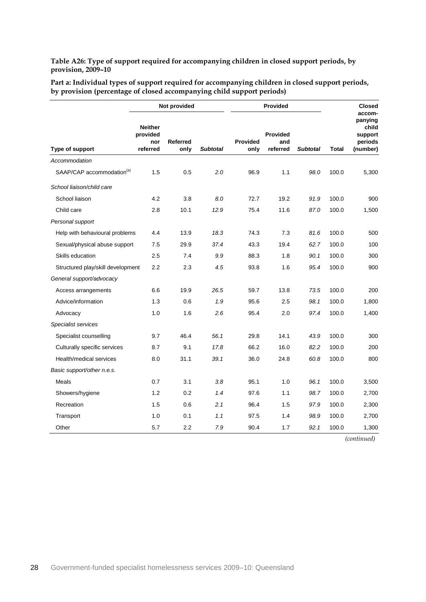<span id="page-31-0"></span>**Table A26: Type of support required for accompanying children in closed support periods, by provision, 2009–10**

| Part a: Individual types of support required for accompanying children in closed support periods, |  |
|---------------------------------------------------------------------------------------------------|--|
| by provision (percentage of closed accompanying child support periods)                            |  |

|                                       |                                               | Not provided            |                 |                         | <b>Provided</b>                    |                 |              | <b>Closed</b>                                                |
|---------------------------------------|-----------------------------------------------|-------------------------|-----------------|-------------------------|------------------------------------|-----------------|--------------|--------------------------------------------------------------|
| Type of support                       | <b>Neither</b><br>provided<br>nor<br>referred | <b>Referred</b><br>only | <b>Subtotal</b> | <b>Provided</b><br>only | <b>Provided</b><br>and<br>referred | <b>Subtotal</b> | <b>Total</b> | accom-<br>panying<br>child<br>support<br>periods<br>(number) |
| Accommodation                         |                                               |                         |                 |                         |                                    |                 |              |                                                              |
| SAAP/CAP accommodation <sup>(a)</sup> | 1.5                                           | 0.5                     | 2.0             | 96.9                    | 1.1                                | 98.0            | 100.0        | 5,300                                                        |
| School liaison/child care             |                                               |                         |                 |                         |                                    |                 |              |                                                              |
| School liaison                        | 4.2                                           | 3.8                     | 8.0             | 72.7                    | 19.2                               | 91.9            | 100.0        | 900                                                          |
| Child care                            | 2.8                                           | 10.1                    | 12.9            | 75.4                    | 11.6                               | 87.0            | 100.0        | 1,500                                                        |
| Personal support                      |                                               |                         |                 |                         |                                    |                 |              |                                                              |
| Help with behavioural problems        | 4.4                                           | 13.9                    | 18.3            | 74.3                    | 7.3                                | 81.6            | 100.0        | 500                                                          |
| Sexual/physical abuse support         | 7.5                                           | 29.9                    | 37.4            | 43.3                    | 19.4                               | 62.7            | 100.0        | 100                                                          |
| Skills education                      | 2.5                                           | 7.4                     | 9.9             | 88.3                    | 1.8                                | 90.1            | 100.0        | 300                                                          |
| Structured play/skill development     | 2.2                                           | 2.3                     | 4.5             | 93.8                    | 1.6                                | 95.4            | 100.0        | 900                                                          |
| General support/advocacy              |                                               |                         |                 |                         |                                    |                 |              |                                                              |
| Access arrangements                   | 6.6                                           | 19.9                    | 26.5            | 59.7                    | 13.8                               | 73.5            | 100.0        | 200                                                          |
| Advice/information                    | 1.3                                           | 0.6                     | 1.9             | 95.6                    | 2.5                                | 98.1            | 100.0        | 1,800                                                        |
| Advocacy                              | 1.0                                           | 1.6                     | 2.6             | 95.4                    | 2.0                                | 97.4            | 100.0        | 1,400                                                        |
| Specialist services                   |                                               |                         |                 |                         |                                    |                 |              |                                                              |
| Specialist counselling                | 9.7                                           | 46.4                    | 56.1            | 29.8                    | 14.1                               | 43.9            | 100.0        | 300                                                          |
| Culturally specific services          | 8.7                                           | 9.1                     | 17.8            | 66.2                    | 16.0                               | 82.2            | 100.0        | 200                                                          |
| Health/medical services               | 8.0                                           | 31.1                    | 39.1            | 36.0                    | 24.8                               | 60.8            | 100.0        | 800                                                          |
| Basic support/other n.e.s.            |                                               |                         |                 |                         |                                    |                 |              |                                                              |
| Meals                                 | 0.7                                           | 3.1                     | 3.8             | 95.1                    | 1.0                                | 96.1            | 100.0        | 3,500                                                        |
| Showers/hygiene                       | 1.2                                           | 0.2                     | 1.4             | 97.6                    | 1.1                                | 98.7            | 100.0        | 2,700                                                        |
| Recreation                            | 1.5                                           | 0.6                     | 2.1             | 96.4                    | 1.5                                | 97.9            | 100.0        | 2,300                                                        |
| Transport                             | 1.0                                           | 0.1                     | 1.1             | 97.5                    | 1.4                                | 98.9            | 100.0        | 2,700                                                        |
| Other                                 | 5.7                                           | 2.2                     | 7.9             | 90.4                    | 1.7                                | 92.1            | 100.0        | 1,300                                                        |

*(continued)*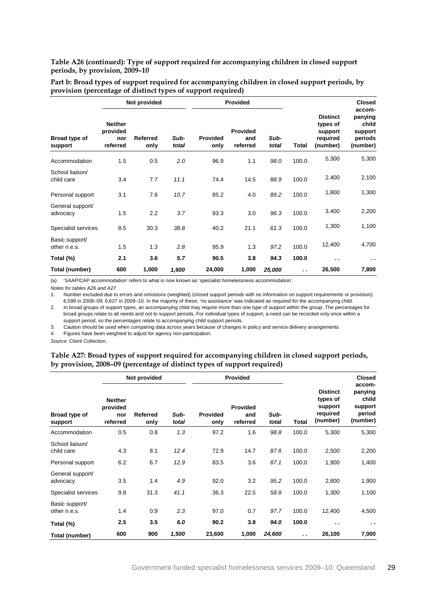#### **Table A26 (continued): Type of support required for accompanying children in closed support periods, by provision, 2009–10**

|                                | Not provided                                  |                  |               |                         | Provided                           |               |                      |                                                                | <b>Closed</b>                                                |
|--------------------------------|-----------------------------------------------|------------------|---------------|-------------------------|------------------------------------|---------------|----------------------|----------------------------------------------------------------|--------------------------------------------------------------|
| Broad type of<br>support       | <b>Neither</b><br>provided<br>nor<br>referred | Referred<br>only | Sub-<br>total | <b>Provided</b><br>only | <b>Provided</b><br>and<br>referred | Sub-<br>total | Total                | <b>Distinct</b><br>types of<br>support<br>required<br>(number) | accom-<br>panying<br>child<br>support<br>periods<br>(number) |
| Accommodation                  | 1.5                                           | 0.5              | 2.0           | 96.9                    | 1.1                                | 98.0          | 100.0                | 5,300                                                          | 5,300                                                        |
| School liaison/<br>child care  | 3.4                                           | 7.7              | 11.1          | 74.4                    | 14.5                               | 88.9          | 100.0                | 2,400                                                          | 2,100                                                        |
| Personal support               | 3.1                                           | 7.6              | 10.7          | 85.2                    | 4.0                                | 89.2          | 100.0                | 1,800                                                          | 1,300                                                        |
| General support/<br>advocacy   | 1.5                                           | 2.2              | 3.7           | 93.3                    | 3.0                                | 96.3          | 100.0                | 3,400                                                          | 2,200                                                        |
| Specialist services            | 8.5                                           | 30.3             | 38.8          | 40.2                    | 21.1                               | 61.3          | 100.0                | 1,300                                                          | 1,100                                                        |
| Basic support/<br>other n.e.s. | 1.5                                           | 1.3              | 2.8           | 95.9                    | 1.3                                | 97.2          | 100.0                | 12,400                                                         | 4,700                                                        |
| Total (%)                      | 2.1                                           | 3.6              | 5.7           | 90.5                    | 3.8                                | 94.3          | 100.0                | $\sim$                                                         | $\sim$                                                       |
| Total (number)                 | 600                                           | 1,000            | 1,600         | 24,000                  | 1,000                              | 25,000        | $\ddot{\phantom{0}}$ | 26,500                                                         | 7,800                                                        |

**Part b: Broad types of support required for accompanying children in closed support periods, by provision (percentage of distinct types of support required)**

(a) 'SAAP/CAP accommodation' refers to what is now known as 'specialist homelessness accommodation'.

*Notes for tables A26 and A27*

1. Number excluded due to errors and omissions (weighted) (closed support periods with no information on support requirements or provision): 6,599 in 2008–09; 6,627 in 2009–10. In the majority of these, 'no assistance' was indicated as required for the accompanying child.

2. In broad groups of support types, an accompanying child may require more than one type of support within the group. The percentages for broad groups relate to all needs and not to support periods. For individual types of support, a need can be recorded only once within a support period, so the percentages relate to accompanying child support periods.

3. Caution should be used when comparing data across years because of changes in policy and service delivery arrangements.

4. Figures have been weighted to adjust for agency non-participation.

<span id="page-32-0"></span>*Source:* Client Collection.

#### **Table A27: Broad types of support required for accompanying children in closed support periods, by provision, 2008–09 (percentage of distinct types of support required)**

|                                |                                               | Not provided            |               |                         | Provided                           |               |                      | <b>Closed</b>                                                  |                                                             |
|--------------------------------|-----------------------------------------------|-------------------------|---------------|-------------------------|------------------------------------|---------------|----------------------|----------------------------------------------------------------|-------------------------------------------------------------|
| Broad type of<br>support       | <b>Neither</b><br>provided<br>nor<br>referred | <b>Referred</b><br>only | Sub-<br>total | <b>Provided</b><br>only | <b>Provided</b><br>and<br>referred | Sub-<br>total | <b>Total</b>         | <b>Distinct</b><br>types of<br>support<br>required<br>(number) | accom-<br>panying<br>child<br>support<br>period<br>(number) |
| Accommodation                  | 0.5                                           | 0.8                     | 1.3           | 97.2                    | 1.6                                | 98.8          | 100.0                | 5,300                                                          | 5,300                                                       |
| School liaison/<br>child care  | 4.3                                           | 8.1                     | 12.4          | 72.9                    | 14.7                               | 87.6          | 100.0                | 2,500                                                          | 2,200                                                       |
| Personal support               | 6.2                                           | 6.7                     | 12.9          | 83.5                    | 3.6                                | 87.1          | 100.0                | 1,900                                                          | 1,400                                                       |
| General support/<br>advocacy   | 3.5                                           | 1.4                     | 4.9           | 92.0                    | 3.2                                | 95.2          | 100.0                | 2,800                                                          | 1,900                                                       |
| Specialist services            | 9.8                                           | 31.3                    | 41.1          | 36.3                    | 22.5                               | 58.8          | 100.0                | 1,300                                                          | 1,100                                                       |
| Basic support/<br>other n.e.s. | 1.4                                           | 0.9                     | 2.3           | 97.0                    | 0.7                                | 97.7          | 100.0                | 12,400                                                         | 4,500                                                       |
| Total (%)                      | 2.5                                           | 3.5                     | 6.0           | 90.2                    | 3.8                                | 94.0          | 100.0                | $\ddot{\phantom{0}}$                                           | $\sim$ $\sim$                                               |
| Total (number)                 | 600                                           | 900                     | 1,500         | 23,600                  | 1,000                              | 24,600        | $\ddot{\phantom{1}}$ | 26,100                                                         | 7,000                                                       |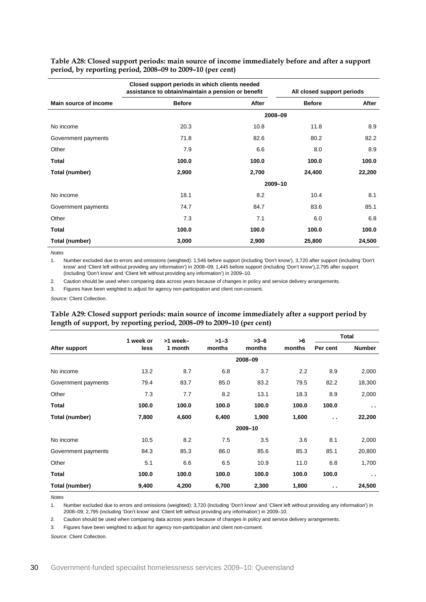<span id="page-33-0"></span>**Table A28: Closed support periods: main source of income immediately before and after a support period, by reporting period, 2008–09 to 2009–10 (per cent)**

|                       | Closed support periods in which clients needed<br>assistance to obtain/maintain a pension or benefit |       |               | All closed support periods |
|-----------------------|------------------------------------------------------------------------------------------------------|-------|---------------|----------------------------|
| Main source of income | <b>Before</b>                                                                                        | After | <b>Before</b> | After                      |
|                       |                                                                                                      |       | 2008-09       |                            |
| No income             | 20.3                                                                                                 | 10.8  | 11.8          | 8.9                        |
| Government payments   | 71.8                                                                                                 | 82.6  | 80.2          | 82.2                       |
| Other                 | 7.9                                                                                                  | 6.6   | 8.0           | 8.9                        |
| Total                 | 100.0                                                                                                | 100.0 | 100.0         | 100.0                      |
| Total (number)        | 2,900                                                                                                | 2,700 | 24,400        | 22,200                     |
|                       |                                                                                                      |       | 2009-10       |                            |
| No income             | 18.1                                                                                                 | 8.2   | 10.4          | 8.1                        |
| Government payments   | 74.7                                                                                                 | 84.7  | 83.6          | 85.1                       |
| Other                 | 7.3                                                                                                  | 7.1   | 6.0           | 6.8                        |
| Total                 | 100.0                                                                                                | 100.0 | 100.0         | 100.0                      |
| Total (number)        | 3,000                                                                                                | 2,900 | 25,800        | 24,500                     |

*Notes*

1. Number excluded due to errors and omissions (weighted): 1,546 before support (including 'Don't know'), 3,720 after support (including 'Don't know' and 'Client left without providing any information') in 2008–09; 1,445 before support (including 'Don't know'),2,795 after support (including 'Don't know' and 'Client left without providing any information') in 2009–10.

2. Caution should be used when comparing data across years because of changes in policy and service delivery arrangements.

3. Figures have been weighted to adjust for agency non-participation and client non-consent.

<span id="page-33-1"></span>*Source:* Client Collection.

#### **Table A29: Closed support periods: main source of income immediately after a support period by length of support, by reporting period, 2008–09 to 2009–10 (per cent)**

|                     | 1 week or | >1 week- | $>1-3$ | $>3-6$  | >6     |               | <b>Total</b>  |
|---------------------|-----------|----------|--------|---------|--------|---------------|---------------|
| After support       | less      | 1 month  | months | months  | months | Per cent      | <b>Number</b> |
|                     |           |          |        | 2008-09 |        |               |               |
| No income           | 13.2      | 8.7      | 6.8    | 3.7     | 2.2    | 8.9           | 2,000         |
| Government payments | 79.4      | 83.7     | 85.0   | 83.2    | 79.5   | 82.2          | 18,300        |
| Other               | 7.3       | 7.7      | 8.2    | 13.1    | 18.3   | 8.9           | 2,000         |
| <b>Total</b>        | 100.0     | 100.0    | 100.0  | 100.0   | 100.0  | 100.0         | $\sim$ $\sim$ |
| Total (number)      | 7,800     | 4,600    | 6,400  | 1,900   | 1,600  | $\sim$ $\sim$ | 22,200        |
|                     |           |          |        | 2009-10 |        |               |               |
| No income           | 10.5      | 8.2      | 7.5    | 3.5     | 3.6    | 8.1           | 2,000         |
| Government payments | 84.3      | 85.3     | 86.0   | 85.6    | 85.3   | 85.1          | 20,800        |
| Other               | 5.1       | 6.6      | 6.5    | 10.9    | 11.0   | 6.8           | 1,700         |
| Total               | 100.0     | 100.0    | 100.0  | 100.0   | 100.0  | 100.0         | $\sim$        |
| Total (number)      | 9,400     | 4,200    | 6,700  | 2,300   | 1,800  | $\sim$ $\sim$ | 24,500        |

*Notes*

1. Number excluded due to errors and omissions (weighted): 3,720 (including 'Don't know' and 'Client left without providing any information') in 2008–09; 2,795 (including 'Don't know' and 'Client left without providing any information') in 2009–10.

2. Caution should be used when comparing data across years because of changes in policy and service delivery arrangements.

3. Figures have been weighted to adjust for agency non-participation and client non-consent.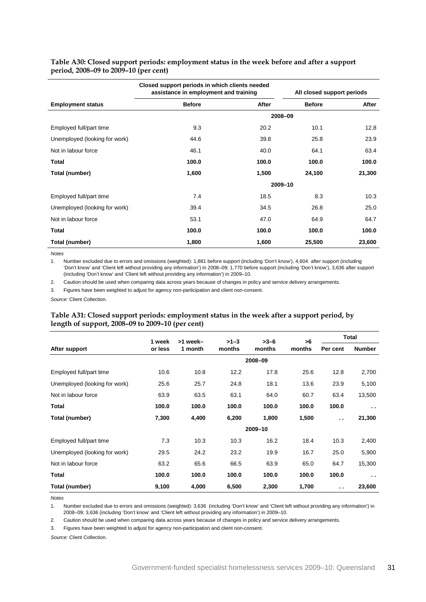|                               | Closed support periods in which clients needed<br>assistance in employment and training |       |               | All closed support periods |
|-------------------------------|-----------------------------------------------------------------------------------------|-------|---------------|----------------------------|
| <b>Employment status</b>      | <b>Before</b>                                                                           | After | <b>Before</b> | After                      |
|                               |                                                                                         |       | 2008-09       |                            |
| Employed full/part time       | 9.3                                                                                     | 20.2  | 10.1          | 12.8                       |
| Unemployed (looking for work) | 44.6                                                                                    | 39.8  | 25.8          | 23.9                       |
| Not in labour force           | 46.1                                                                                    | 40.0  | 64.1          | 63.4                       |
| <b>Total</b>                  | 100.0                                                                                   | 100.0 | 100.0         | 100.0                      |
| Total (number)                | 1,600                                                                                   | 1,500 | 24,100        | 21,300                     |
|                               |                                                                                         |       | 2009-10       |                            |
| Employed full/part time       | 7.4                                                                                     | 18.5  | 8.3           | 10.3                       |
| Unemployed (looking for work) | 39.4                                                                                    | 34.5  | 26.8          | 25.0                       |
| Not in labour force           | 53.1                                                                                    | 47.0  | 64.9          | 64.7                       |
| Total                         | 100.0                                                                                   | 100.0 | 100.0         | 100.0                      |
| Total (number)                | 1,800                                                                                   | 1,600 | 25,500        | 23,600                     |

#### <span id="page-34-0"></span>**Table A30: Closed support periods: employment status in the week before and after a support period, 2008–09 to 2009–10 (per cent)**

*Notes*

1. Number excluded due to errors and omissions (weighted): 1,881 before support (including 'Don't know'), 4,604 after support (including 'Don't know' and 'Client left without providing any information') in 2008–09; 1,770 before support (including 'Don't know'), 3,636 after support (including 'Don't know' and 'Client left without providing any information') in 2009–10.

2. Caution should be used when comparing data across years because of changes in policy and service delivery arrangements.

3. Figures have been weighted to adjust for agency non-participation and client non-consent.

<span id="page-34-1"></span>*Source:* Client Collection.

#### **Table A31: Closed support periods: employment status in the week after a support period, by length of support, 2008–09 to 2009–10 (per cent)**

|                               | 1 week  | >1 week- | $>1-3$ | $>3-6$  | >6     |                      | Total         |
|-------------------------------|---------|----------|--------|---------|--------|----------------------|---------------|
| After support                 | or less | 1 month  | months | months  | months | Per cent             | <b>Number</b> |
|                               |         |          |        | 2008-09 |        |                      |               |
| Employed full/part time       | 10.6    | 10.8     | 12.2   | 17.8    | 25.6   | 12.8                 | 2,700         |
| Unemployed (looking for work) | 25.6    | 25.7     | 24.8   | 18.1    | 13.6   | 23.9                 | 5,100         |
| Not in labour force           | 63.9    | 63.5     | 63.1   | 64.0    | 60.7   | 63.4                 | 13,500        |
| <b>Total</b>                  | 100.0   | 100.0    | 100.0  | 100.0   | 100.0  | 100.0                | $\sim$ $\sim$ |
| Total (number)                | 7,300   | 4,400    | 6,200  | 1,800   | 1,500  | $\ddot{\phantom{a}}$ | 21,300        |
|                               |         |          |        | 2009-10 |        |                      |               |
| Employed full/part time       | 7.3     | 10.3     | 10.3   | 16.2    | 18.4   | 10.3                 | 2,400         |
| Unemployed (looking for work) | 29.5    | 24.2     | 23.2   | 19.9    | 16.7   | 25.0                 | 5,900         |
| Not in labour force           | 63.2    | 65.6     | 66.5   | 63.9    | 65.0   | 64.7                 | 15,300        |
| Total                         | 100.0   | 100.0    | 100.0  | 100.0   | 100.0  | 100.0                | $\sim$        |
| Total (number)                | 9,100   | 4,000    | 6,500  | 2,300   | 1,700  | $\sim$               | 23,600        |

*Notes*

1. Number excluded due to errors and omissions (weighted): 3,636 (including 'Don't know' and 'Client left without providing any information') in 2008–09; 3,636 (including 'Don't know' and 'Client left without providing any information') in 2009–10.

2. Caution should be used when comparing data across years because of changes in policy and service delivery arrangements.

3. Figures have been weighted to adjust for agency non-participation and client non-consent.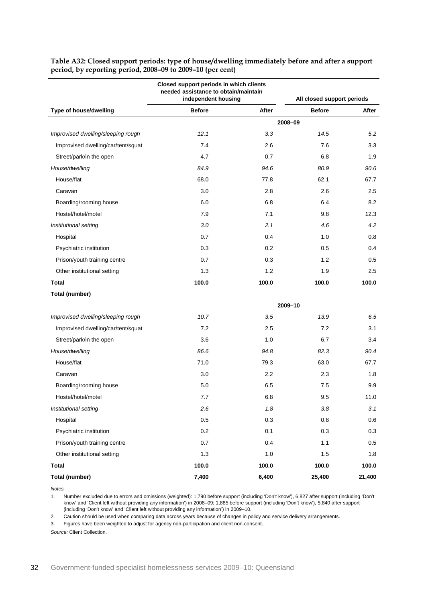|                                    | Closed support periods in which clients<br>needed assistance to obtain/maintain<br>independent housing |       |               | All closed support periods |
|------------------------------------|--------------------------------------------------------------------------------------------------------|-------|---------------|----------------------------|
| Type of house/dwelling             | <b>Before</b>                                                                                          | After | <b>Before</b> | After                      |
|                                    |                                                                                                        |       | 2008-09       |                            |
| Improvised dwelling/sleeping rough | 12.1                                                                                                   | 3.3   | 14.5          | 5.2                        |
| Improvised dwelling/car/tent/squat | 7.4                                                                                                    | 2.6   | 7.6           | 3.3                        |
| Street/park/in the open            | 4.7                                                                                                    | 0.7   | 6.8           | 1.9                        |
| House/dwelling                     | 84.9                                                                                                   | 94.6  | 80.9          | 90.6                       |
| House/flat                         | 68.0                                                                                                   | 77.8  | 62.1          | 67.7                       |
| Caravan                            | 3.0                                                                                                    | 2.8   | 2.6           | 2.5                        |
| Boarding/rooming house             | 6.0                                                                                                    | 6.8   | 6.4           | 8.2                        |
| Hostel/hotel/motel                 | 7.9                                                                                                    | 7.1   | 9.8           | 12.3                       |
| Institutional setting              | 3.0                                                                                                    | 2.1   | 4.6           | 4.2                        |
| Hospital                           | 0.7                                                                                                    | 0.4   | 1.0           | 0.8                        |
| Psychiatric institution            | 0.3                                                                                                    | 0.2   | 0.5           | 0.4                        |
| Prison/youth training centre       | 0.7                                                                                                    | 0.3   | 1.2           | 0.5                        |
| Other institutional setting        | 1.3                                                                                                    | 1.2   | 1.9           | 2.5                        |
| <b>Total</b>                       | 100.0                                                                                                  | 100.0 | 100.0         | 100.0                      |
| Total (number)                     |                                                                                                        |       |               |                            |
|                                    |                                                                                                        |       | 2009-10       |                            |
| Improvised dwelling/sleeping rough | 10.7                                                                                                   | 3.5   | 13.9          | 6.5                        |
| Improvised dwelling/car/tent/squat | 7.2                                                                                                    | 2.5   | 7.2           | 3.1                        |
| Street/park/in the open            | 3.6                                                                                                    | 1.0   | 6.7           | 3.4                        |
| House/dwelling                     | 86.6                                                                                                   | 94.8  | 82.3          | 90.4                       |
| House/flat                         | 71.0                                                                                                   | 79.3  | 63.0          | 67.7                       |
| Caravan                            | 3.0                                                                                                    | 2.2   | 2.3           | 1.8                        |
| Boarding/rooming house             | 5.0                                                                                                    | 6.5   | 7.5           | 9.9                        |
| Hostel/hotel/motel                 | 7.7                                                                                                    | 6.8   | 9.5           | 11.0                       |
| Institutional setting              | 2.6                                                                                                    | 1.8   | 3.8           | 3.1                        |
| Hospital                           | 0.5                                                                                                    | 0.3   | 0.8           | 0.6                        |
| Psychiatric institution            | 0.2                                                                                                    | 0.1   | 0.3           | 0.3                        |
| Prison/youth training centre       | 0.7                                                                                                    | 0.4   | 1.1           | 0.5                        |
| Other institutional setting        | $1.3$                                                                                                  | 1.0   | 1.5           | 1.8                        |
| <b>Total</b>                       | 100.0                                                                                                  | 100.0 | 100.0         | 100.0                      |
| Total (number)                     | 7,400                                                                                                  | 6,400 | 25,400        | 21,400                     |

<span id="page-35-0"></span>**Table A32: Closed support periods: type of house/dwelling immediately before and after a support period, by reporting period, 2008–09 to 2009–10 (per cent)**

*Notes*

1. Number excluded due to errors and omissions (weighted): 1,790 before support (including 'Don't know'), 6,827 after support (including 'Don't know' and 'Client left without providing any information') in 2008–09; 1,885 before support (including 'Don't know'), 5,840 after support (including 'Don't know' and 'Client left without providing any information') in 2009–10.

2. Caution should be used when comparing data across years because of changes in policy and service delivery arrangements.

3. Figures have been weighted to adjust for agency non-participation and client non-consent.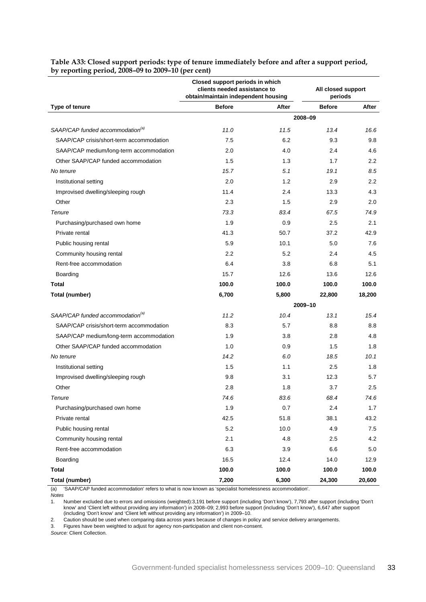|                                              | Closed support periods in which<br>clients needed assistance to<br>obtain/maintain independent housing |       | All closed support<br>periods |        |
|----------------------------------------------|--------------------------------------------------------------------------------------------------------|-------|-------------------------------|--------|
| Type of tenure                               | <b>Before</b>                                                                                          | After | <b>Before</b>                 | After  |
|                                              |                                                                                                        |       | 2008-09                       |        |
| SAAP/CAP funded accommodation <sup>(a)</sup> | 11.0                                                                                                   | 11.5  | 13.4                          | 16.6   |
| SAAP/CAP crisis/short-term accommodation     | 7.5                                                                                                    | 6.2   | 9.3                           | 9.8    |
| SAAP/CAP medium/long-term accommodation      | 2.0                                                                                                    | 4.0   | 2.4                           | 4.6    |
| Other SAAP/CAP funded accommodation          | 1.5                                                                                                    | 1.3   | 1.7                           | 2.2    |
| No tenure                                    | 15.7                                                                                                   | 5.1   | 19.1                          | 8.5    |
| Institutional setting                        | 2.0                                                                                                    | 1.2   | 2.9                           | 2.2    |
| Improvised dwelling/sleeping rough           | 11.4                                                                                                   | 2.4   | 13.3                          | 4.3    |
| Other                                        | 2.3                                                                                                    | 1.5   | 2.9                           | 2.0    |
| Tenure                                       | 73.3                                                                                                   | 83.4  | 67.5                          | 74.9   |
| Purchasing/purchased own home                | 1.9                                                                                                    | 0.9   | 2.5                           | 2.1    |
| Private rental                               | 41.3                                                                                                   | 50.7  | 37.2                          | 42.9   |
| Public housing rental                        | 5.9                                                                                                    | 10.1  | 5.0                           | 7.6    |
| Community housing rental                     | $2.2\phantom{0}$                                                                                       | 5.2   | 2.4                           | 4.5    |
| Rent-free accommodation                      | 6.4                                                                                                    | 3.8   | 6.8                           | 5.1    |
| Boarding                                     | 15.7                                                                                                   | 12.6  | 13.6                          | 12.6   |
| <b>Total</b>                                 | 100.0                                                                                                  | 100.0 | 100.0                         | 100.0  |
| Total (number)                               | 6,700                                                                                                  | 5,800 | 22,800                        | 18,200 |
|                                              |                                                                                                        |       | 2009-10                       |        |
| SAAP/CAP funded accommodation <sup>(a)</sup> | 11.2                                                                                                   | 10.4  | 13.1                          | 15.4   |
| SAAP/CAP crisis/short-term accommodation     | 8.3                                                                                                    | 5.7   | 8.8                           | 8.8    |
| SAAP/CAP medium/long-term accommodation      | 1.9                                                                                                    | 3.8   | 2.8                           | 4.8    |
| Other SAAP/CAP funded accommodation          | 1.0                                                                                                    | 0.9   | 1.5                           | 1.8    |
| No tenure                                    | 14.2                                                                                                   | 6.0   | 18.5                          | 10.1   |
| Institutional setting                        | 1.5                                                                                                    | 1.1   | 2.5                           | 1.8    |
| Improvised dwelling/sleeping rough           | 9.8                                                                                                    | 3.1   | 12.3                          | 5.7    |
| Other                                        | 2.8                                                                                                    | 1.8   | 3.7                           | 2.5    |
| Tenure                                       | 74.6                                                                                                   | 83.6  | 68.4                          | 74.6   |
| Purchasing/purchased own home                | 1.9                                                                                                    | 0.7   | 2.4                           | 1.7    |
| Private rental                               | 42.5                                                                                                   | 51.8  | 38.1                          | 43.2   |
| Public housing rental                        | 5.2                                                                                                    | 10.0  | 4.9                           | 7.5    |
| Community housing rental                     | 2.1                                                                                                    | 4.8   | 2.5                           | 4.2    |
| Rent-free accommodation                      | 6.3                                                                                                    | 3.9   | 6.6                           | 5.0    |
| Boarding                                     | 16.5                                                                                                   | 12.4  | 14.0                          | 12.9   |
| <b>Total</b>                                 | 100.0                                                                                                  | 100.0 | 100.0                         | 100.0  |
| <b>Total (number)</b>                        | 7,200                                                                                                  | 6,300 | 24,300                        | 20,600 |

#### <span id="page-36-0"></span>**Table A33: Closed support periods: type of tenure immediately before and after a support period, by reporting period, 2008–09 to 2009–10 (per cent)**

(a) 'SAAP/CAP funded accommodation' refers to what is now known as 'specialist homelessness accommodation'.

1. Number excluded due to errors and omissions (weighted):3,191 before support (including 'Don't know'), 7,793 after support (including 'Don't know' and 'Client left without providing any information') in 2008–09; 2,993 before support (including 'Don't know'), 6,647 after support (including 'Don't know' and 'Client left without providing any information') in 2009–10.

2. Caution should be used when comparing data across years because of changes in policy and service delivery arrangements.

3. Figures have been weighted to adjust for agency non-participation and client non-consent.

*Notes*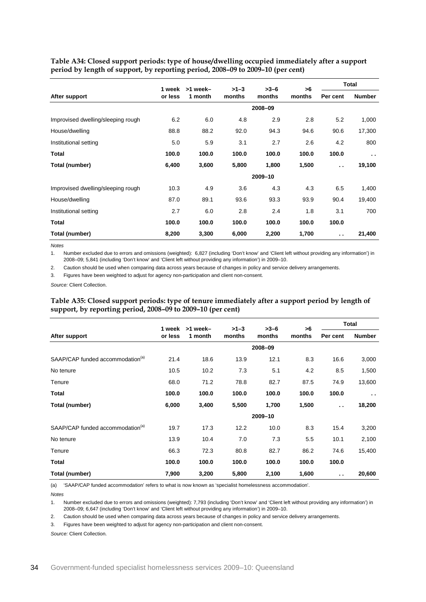<span id="page-37-0"></span>**Table A34: Closed support periods: type of house/dwelling occupied immediately after a support period by length of support, by reporting period, 2008–09 to 2009–10 (per cent)**

|                                    | 1 week  | >1 week- | $>1-3$ | $>3-6$  | >6     |                      | Total                |
|------------------------------------|---------|----------|--------|---------|--------|----------------------|----------------------|
| After support                      | or less | 1 month  | months | months  | months | Per cent             | <b>Number</b>        |
|                                    |         |          |        | 2008-09 |        |                      |                      |
| Improvised dwelling/sleeping rough | 6.2     | 6.0      | 4.8    | 2.9     | 2.8    | 5.2                  | 1,000                |
| House/dwelling                     | 88.8    | 88.2     | 92.0   | 94.3    | 94.6   | 90.6                 | 17,300               |
| Institutional setting              | 5.0     | 5.9      | 3.1    | 2.7     | 2.6    | 4.2                  | 800                  |
| <b>Total</b>                       | 100.0   | 100.0    | 100.0  | 100.0   | 100.0  | 100.0                | $\ddot{\phantom{a}}$ |
| Total (number)                     | 6,400   | 3,600    | 5,800  | 1,800   | 1,500  | $\ddot{\phantom{a}}$ | 19,100               |
|                                    |         |          |        | 2009-10 |        |                      |                      |
| Improvised dwelling/sleeping rough | 10.3    | 4.9      | 3.6    | 4.3     | 4.3    | 6.5                  | 1,400                |
| House/dwelling                     | 87.0    | 89.1     | 93.6   | 93.3    | 93.9   | 90.4                 | 19,400               |
| Institutional setting              | 2.7     | 6.0      | 2.8    | 2.4     | 1.8    | 3.1                  | 700                  |
| <b>Total</b>                       | 100.0   | 100.0    | 100.0  | 100.0   | 100.0  | 100.0                |                      |
| Total (number)                     | 8,200   | 3,300    | 6,000  | 2,200   | 1,700  | $\ddot{\phantom{a}}$ | 21,400               |

*Notes*

1. Number excluded due to errors and omissions (weighted): 6,827 (including 'Don't know' and 'Client left without providing any information') in 2008–09; 5,841 (including 'Don't know' and 'Client left without providing any information') in 2009–10.

2. Caution should be used when comparing data across years because of changes in policy and service delivery arrangements.

3. Figures have been weighted to adjust for agency non-participation and client non-consent.

<span id="page-37-1"></span>*Source:* Client Collection.

**Table A35: Closed support periods: type of tenure immediately after a support period by length of support, by reporting period, 2008–09 to 2009–10 (per cent)**

|                                              | 1 week  | >1 week- | $>1-3$ | $>3-6$  | >6     |                      | <b>Total</b>  |
|----------------------------------------------|---------|----------|--------|---------|--------|----------------------|---------------|
| After support                                | or less | 1 month  | months | months  | months | Per cent             | <b>Number</b> |
|                                              |         |          |        | 2008-09 |        |                      |               |
| SAAP/CAP funded accommodation <sup>(a)</sup> | 21.4    | 18.6     | 13.9   | 12.1    | 8.3    | 16.6                 | 3,000         |
| No tenure                                    | 10.5    | 10.2     | 7.3    | 5.1     | 4.2    | 8.5                  | 1,500         |
| Tenure                                       | 68.0    | 71.2     | 78.8   | 82.7    | 87.5   | 74.9                 | 13,600        |
| <b>Total</b>                                 | 100.0   | 100.0    | 100.0  | 100.0   | 100.0  | 100.0                | $\sim$ $\sim$ |
| Total (number)                               | 6,000   | 3,400    | 5,500  | 1,700   | 1,500  | $\ddot{\phantom{a}}$ | 18,200        |
|                                              |         |          |        | 2009-10 |        |                      |               |
| SAAP/CAP funded accommodation <sup>(a)</sup> | 19.7    | 17.3     | 12.2   | 10.0    | 8.3    | 15.4                 | 3,200         |
| No tenure                                    | 13.9    | 10.4     | 7.0    | 7.3     | 5.5    | 10.1                 | 2,100         |
| Tenure                                       | 66.3    | 72.3     | 80.8   | 82.7    | 86.2   | 74.6                 | 15,400        |
| <b>Total</b>                                 | 100.0   | 100.0    | 100.0  | 100.0   | 100.0  | 100.0                |               |
| Total (number)                               | 7,900   | 3,200    | 5,800  | 2,100   | 1,600  | $\ddot{\phantom{a}}$ | 20,600        |

(a) 'SAAP/CAP funded accommodation' refers to what is now known as 'specialist homelessness accommodation'.

*Notes*

1. Number excluded due to errors and omissions (weighted): 7,793 (including 'Don't know' and 'Client left without providing any information') in 2008–09; 6,647 (including 'Don't know' and 'Client left without providing any information') in 2009–10.

2. Caution should be used when comparing data across years because of changes in policy and service delivery arrangements.

3. Figures have been weighted to adjust for agency non-participation and client non-consent.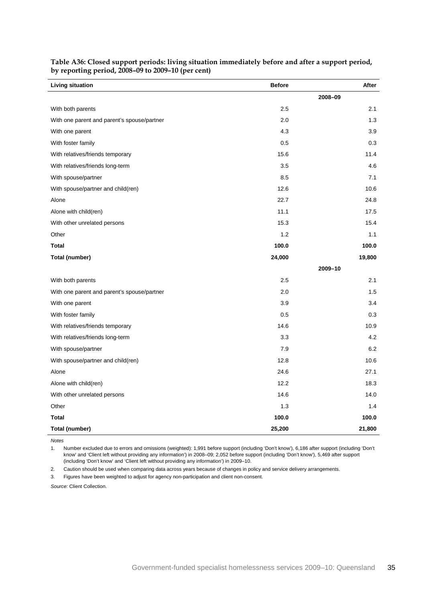| Living situation                            | <b>Before</b> | After   |
|---------------------------------------------|---------------|---------|
|                                             |               | 2008-09 |
| With both parents                           | 2.5           | 2.1     |
| With one parent and parent's spouse/partner | 2.0           | 1.3     |
| With one parent                             | 4.3           | 3.9     |
| With foster family                          | 0.5           | 0.3     |
| With relatives/friends temporary            | 15.6          | 11.4    |
| With relatives/friends long-term            | 3.5           | 4.6     |
| With spouse/partner                         | 8.5           | 7.1     |
| With spouse/partner and child(ren)          | 12.6          | 10.6    |
| Alone                                       | 22.7          | 24.8    |
| Alone with child(ren)                       | 11.1          | 17.5    |
| With other unrelated persons                | 15.3          | 15.4    |
| Other                                       | 1.2           | 1.1     |
| <b>Total</b>                                | 100.0         | 100.0   |
| <b>Total (number)</b>                       | 24,000        | 19,800  |
|                                             |               | 2009-10 |
| With both parents                           | 2.5           | 2.1     |
| With one parent and parent's spouse/partner | 2.0           | 1.5     |
| With one parent                             | 3.9           | 3.4     |
| With foster family                          | 0.5           | 0.3     |
| With relatives/friends temporary            | 14.6          | 10.9    |
| With relatives/friends long-term            | 3.3           | 4.2     |
| With spouse/partner                         | 7.9           | 6.2     |
| With spouse/partner and child(ren)          | 12.8          | 10.6    |
| Alone                                       | 24.6          | 27.1    |
| Alone with child(ren)                       | 12.2          | 18.3    |
| With other unrelated persons                | 14.6          | 14.0    |
| Other                                       | 1.3           | 1.4     |
| Total                                       | 100.0         | 100.0   |
| <b>Total (number)</b>                       | 25,200        | 21,800  |

<span id="page-38-0"></span>**Table A36: Closed support periods: living situation immediately before and after a support period, by reporting period, 2008–09 to 2009–10 (per cent)**

*Notes*

1. Number excluded due to errors and omissions (weighted): 1,991 before support (including 'Don't know'), 6,186 after support (including 'Don't know' and 'Client left without providing any information') in 2008–09; 2,052 before support (including 'Don't know'), 5,469 after support (including 'Don't know' and 'Client left without providing any information') in 2009–10.

2. Caution should be used when comparing data across years because of changes in policy and service delivery arrangements.

3. Figures have been weighted to adjust for agency non-participation and client non-consent.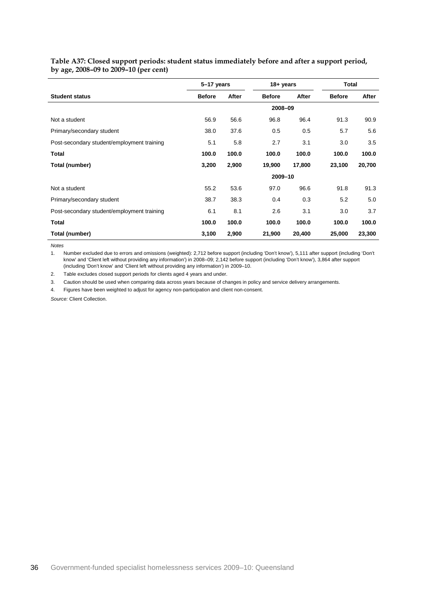|                                            | 5-17 years    |       |               | 18+ years |               | Total  |  |
|--------------------------------------------|---------------|-------|---------------|-----------|---------------|--------|--|
| <b>Student status</b>                      | <b>Before</b> | After | <b>Before</b> | After     | <b>Before</b> | After  |  |
|                                            |               |       | 2008-09       |           |               |        |  |
| Not a student                              | 56.9          | 56.6  | 96.8          | 96.4      | 91.3          | 90.9   |  |
| Primary/secondary student                  | 38.0          | 37.6  | 0.5           | 0.5       | 5.7           | 5.6    |  |
| Post-secondary student/employment training | 5.1           | 5.8   | 2.7           | 3.1       | 3.0           | 3.5    |  |
| <b>Total</b>                               | 100.0         | 100.0 | 100.0         | 100.0     | 100.0         | 100.0  |  |
| Total (number)                             | 3,200         | 2,900 | 19,900        | 17,800    | 23,100        | 20,700 |  |
|                                            |               |       | 2009-10       |           |               |        |  |
| Not a student                              | 55.2          | 53.6  | 97.0          | 96.6      | 91.8          | 91.3   |  |
| Primary/secondary student                  | 38.7          | 38.3  | 0.4           | 0.3       | 5.2           | 5.0    |  |
| Post-secondary student/employment training | 6.1           | 8.1   | 2.6           | 3.1       | 3.0           | 3.7    |  |
| Total                                      | 100.0         | 100.0 | 100.0         | 100.0     | 100.0         | 100.0  |  |
| Total (number)                             | 3,100         | 2,900 | 21,900        | 20,400    | 25,000        | 23,300 |  |

<span id="page-39-0"></span>**Table A37: Closed support periods: student status immediately before and after a support period, by age, 2008–09 to 2009–10 (per cent)**

*Notes*

÷,

1. Number excluded due to errors and omissions (weighted): 2,712 before support (including 'Don't know'), 5,111 after support (including 'Don't know' and 'Client left without providing any information') in 2008–09; 2,142 before support (including 'Don't know'), 3,864 after support (including 'Don't know' and 'Client left without providing any information') in 2009–10.

2. Table excludes closed support periods for clients aged 4 years and under.

3. Caution should be used when comparing data across years because of changes in policy and service delivery arrangements.

4. Figures have been weighted to adjust for agency non-participation and client non-consent.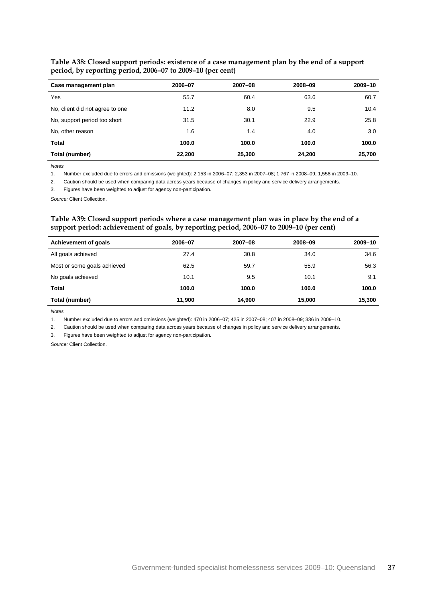| Case management plan            | 2006-07 | 2007-08 | 2008-09 | 2009-10 |
|---------------------------------|---------|---------|---------|---------|
| Yes                             | 55.7    | 60.4    | 63.6    | 60.7    |
| No, client did not agree to one | 11.2    | 8.0     | 9.5     | 10.4    |
| No, support period too short    | 31.5    | 30.1    | 22.9    | 25.8    |
| No, other reason                | 1.6     | 1.4     | 4.0     | 3.0     |
| <b>Total</b>                    | 100.0   | 100.0   | 100.0   | 100.0   |
| Total (number)                  | 22,200  | 25,300  | 24,200  | 25,700  |

<span id="page-40-0"></span>**Table A38: Closed support periods: existence of a case management plan by the end of a support period, by reporting period, 2006–07 to 2009–10 (per cent)**

*Notes*

1. Number excluded due to errors and omissions (weighted): 2,153 in 2006–07; 2,353 in 2007–08; 1,767 in 2008–09; 1,558 in 2009–10.

2. Caution should be used when comparing data across years because of changes in policy and service delivery arrangements.

3. Figures have been weighted to adjust for agency non-participation.

<span id="page-40-1"></span>*Source:* Client Collection.

#### **Table A39: Closed support periods where a case management plan was in place by the end of a support period: achievement of goals, by reporting period, 2006–07 to 2009–10 (per cent)**

| <b>Achievement of goals</b> | 2006-07 | $2007 - 08$ | 2008-09 | 2009-10 |
|-----------------------------|---------|-------------|---------|---------|
| All goals achieved          | 27.4    | 30.8        | 34.0    | 34.6    |
| Most or some goals achieved | 62.5    | 59.7        | 55.9    | 56.3    |
| No goals achieved           | 10.1    | 9.5         | 10.1    | 9.1     |
| Total                       | 100.0   | 100.0       | 100.0   | 100.0   |
| Total (number)              | 11,900  | 14,900      | 15,000  | 15,300  |

*Notes*

1. Number excluded due to errors and omissions (weighted): 470 in 2006–07; 425 in 2007–08; 407 in 2008–09; 336 in 2009–10.

2. Caution should be used when comparing data across years because of changes in policy and service delivery arrangements.

3. Figures have been weighted to adjust for agency non-participation.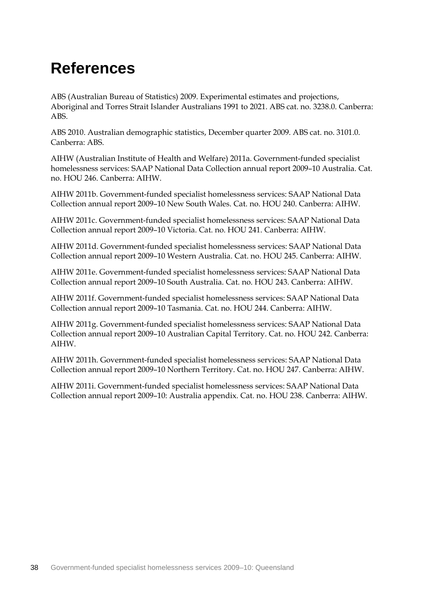## <span id="page-41-0"></span>**References**

ABS (Australian Bureau of Statistics) 2009. Experimental estimates and projections, Aboriginal and Torres Strait Islander Australians 1991 to 2021. ABS cat. no. 3238.0. Canberra: ABS.

ABS 2010. Australian demographic statistics, December quarter 2009. ABS cat. no. 3101.0. Canberra: ABS.

AIHW (Australian Institute of Health and Welfare) 2011a. Government-funded specialist homelessness services: SAAP National Data Collection annual report 2009–10 Australia. Cat. no. HOU 246. Canberra: AIHW.

AIHW 2011b. Government-funded specialist homelessness services: SAAP National Data Collection annual report 2009–10 New South Wales. Cat. no. HOU 240. Canberra: AIHW.

AIHW 2011c. Government-funded specialist homelessness services: SAAP National Data Collection annual report 2009–10 Victoria. Cat. no. HOU 241. Canberra: AIHW.

AIHW 2011d. Government-funded specialist homelessness services: SAAP National Data Collection annual report 2009–10 Western Australia. Cat. no. HOU 245. Canberra: AIHW.

AIHW 2011e. Government-funded specialist homelessness services: SAAP National Data Collection annual report 2009–10 South Australia. Cat. no. HOU 243. Canberra: AIHW.

AIHW 2011f. Government-funded specialist homelessness services: SAAP National Data Collection annual report 2009–10 Tasmania. Cat. no. HOU 244. Canberra: AIHW.

AIHW 2011g. Government-funded specialist homelessness services: SAAP National Data Collection annual report 2009–10 Australian Capital Territory. Cat. no. HOU 242. Canberra: AIHW.

AIHW 2011h. Government-funded specialist homelessness services: SAAP National Data Collection annual report 2009–10 Northern Territory. Cat. no. HOU 247. Canberra: AIHW.

AIHW 2011i. Government-funded specialist homelessness services: SAAP National Data Collection annual report 2009–10: Australia appendix. Cat. no. HOU 238. Canberra: AIHW.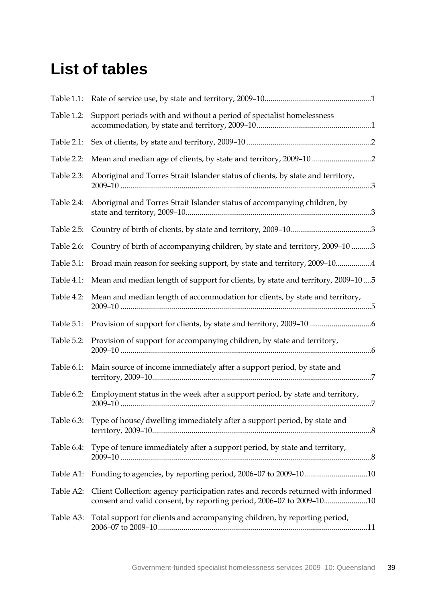### <span id="page-42-0"></span>**List of tables**

| Table 1.1: |                                                                                                                                                          |
|------------|----------------------------------------------------------------------------------------------------------------------------------------------------------|
| Table 1.2: | Support periods with and without a period of specialist homelessness                                                                                     |
| Table 2.1: |                                                                                                                                                          |
| Table 2.2: |                                                                                                                                                          |
| Table 2.3: | Aboriginal and Torres Strait Islander status of clients, by state and territory,                                                                         |
| Table 2.4: | Aboriginal and Torres Strait Islander status of accompanying children, by                                                                                |
| Table 2.5: |                                                                                                                                                          |
| Table 2.6: | Country of birth of accompanying children, by state and territory, 2009-10 3                                                                             |
| Table 3.1: | Broad main reason for seeking support, by state and territory, 2009-104                                                                                  |
| Table 4.1: | Mean and median length of support for clients, by state and territory, 2009-105                                                                          |
| Table 4.2: | Mean and median length of accommodation for clients, by state and territory,                                                                             |
| Table 5.1: |                                                                                                                                                          |
| Table 5.2: | Provision of support for accompanying children, by state and territory,                                                                                  |
| Table 6.1: | Main source of income immediately after a support period, by state and                                                                                   |
| Table 6.2: | Employment status in the week after a support period, by state and territory,                                                                            |
| Table 6.3: | Type of house/dwelling immediately after a support period, by state and                                                                                  |
| Table 6.4: | Type of tenure immediately after a support period, by state and territory,                                                                               |
| Table A1:  | Funding to agencies, by reporting period, 2006-07 to 2009-1010                                                                                           |
| Table A2:  | Client Collection: agency participation rates and records returned with informed<br>consent and valid consent, by reporting period, 2006-07 to 2009-1010 |
| Table A3:  | Total support for clients and accompanying children, by reporting period,                                                                                |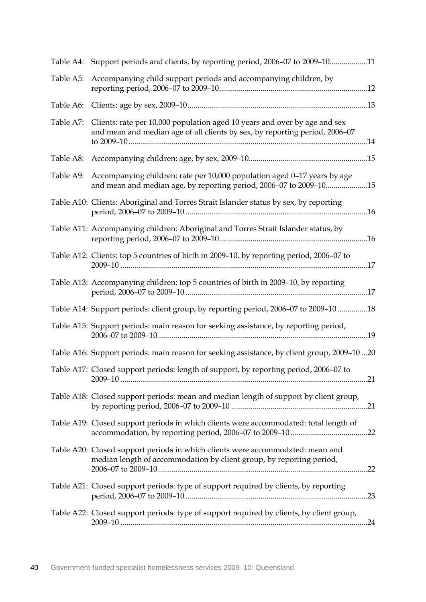|           | Table A4: Support periods and clients, by reporting period, 2006-07 to 2009-1011                                                                         |  |
|-----------|----------------------------------------------------------------------------------------------------------------------------------------------------------|--|
| Table A5: | Accompanying child support periods and accompanying children, by                                                                                         |  |
|           |                                                                                                                                                          |  |
| Table A7: | Clients: rate per 10,000 population aged 10 years and over by age and sex<br>and mean and median age of all clients by sex, by reporting period, 2006-07 |  |
|           |                                                                                                                                                          |  |
| Table A9: | Accompanying children: rate per 10,000 population aged 0-17 years by age<br>and mean and median age, by reporting period, 2006-07 to 2009-1015           |  |
|           | Table A10: Clients: Aboriginal and Torres Strait Islander status by sex, by reporting                                                                    |  |
|           | Table A11: Accompanying children: Aboriginal and Torres Strait Islander status, by                                                                       |  |
|           | Table A12: Clients: top 5 countries of birth in 2009-10, by reporting period, 2006-07 to                                                                 |  |
|           | Table A13: Accompanying children: top 5 countries of birth in 2009-10, by reporting                                                                      |  |
|           | Table A14: Support periods: client group, by reporting period, 2006-07 to 2009-10 18                                                                     |  |
|           | Table A15: Support periods: main reason for seeking assistance, by reporting period,                                                                     |  |
|           | Table A16: Support periods: main reason for seeking assistance, by client group, 2009-1020                                                               |  |
|           | Table A17: Closed support periods: length of support, by reporting period, 2006-07 to                                                                    |  |
|           | Table A18: Closed support periods: mean and median length of support by client group,                                                                    |  |
|           | Table A19: Closed support periods in which clients were accommodated: total length of                                                                    |  |
|           | Table A20: Closed support periods in which clients were accommodated: mean and<br>median length of accommodation by client group, by reporting period,   |  |
|           | Table A21: Closed support periods: type of support required by clients, by reporting                                                                     |  |
|           | Table A22: Closed support periods: type of support required by clients, by client group,                                                                 |  |